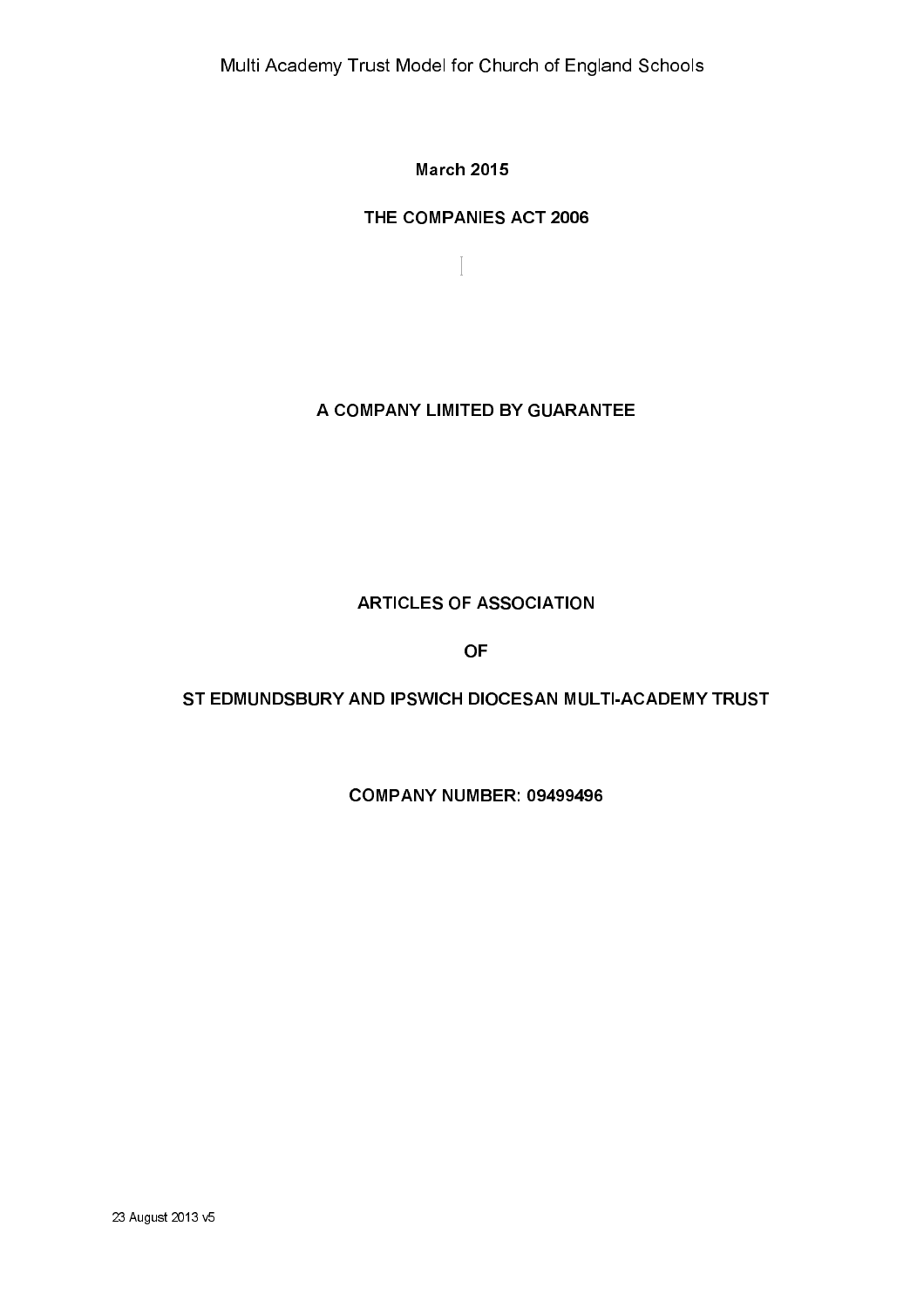**March 2015** 

 $\begin{bmatrix} \phantom{-} \end{bmatrix}$ 

# THE COMPANIES ACT 2006

A COMPANY LIMITED BY GUARANTEE

# **ARTICLES OF ASSOCIATION**

**OF** 

# ST EDMUNDSBURY AND IPSWICH DIOCESAN MULTI-ACADEMY TRUST

COMPANY NUMBER: 09499496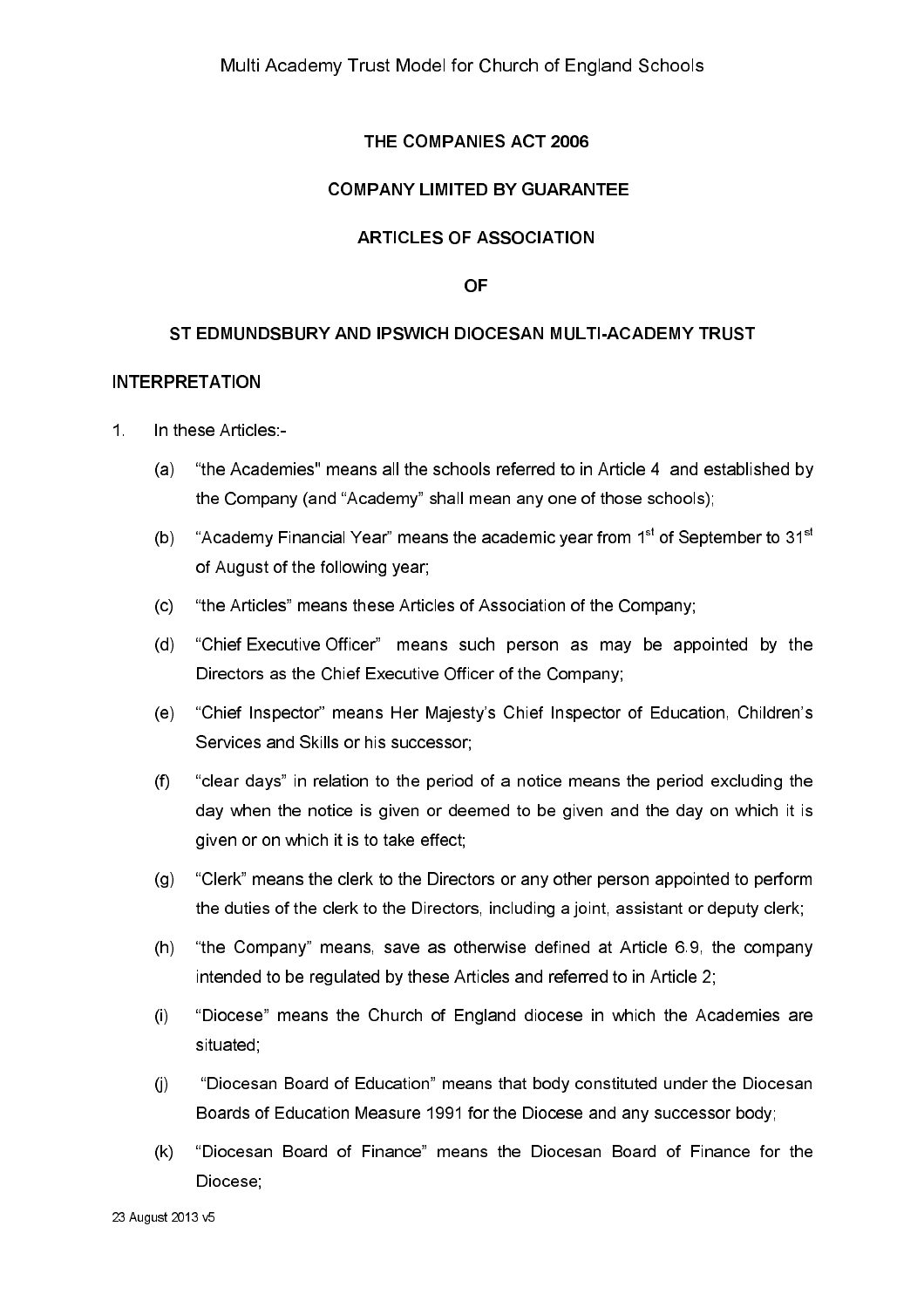# THE COMPANIES ACT 2006

### **COMPANY LIMITED BY GUARANTEE**

### **ARTICLES OF ASSOCIATION**

#### **OF**

### ST EDMUNDSBURY AND IPSWICH DIOCESAN MULTI-ACADEMY TRUST

#### **INTERPRETATION**

- $1<sup>1</sup>$ In these Articles:-
	- "the Academies" means all the schools referred to in Article 4 and established by  $(a)$ the Company (and "Academy" shall mean any one of those schools);
	- $(b)$ "Academy Financial Year" means the academic vear from 1<sup>st</sup> of September to 31<sup>st</sup> of August of the following year;
	- "the Articles" means these Articles of Association of the Company;  $(c)$
	- "Chief Executive Officer" means such person as may be appointed by the  $(d)$ Directors as the Chief Executive Officer of the Company:
	- "Chief Inspector" means Her Majesty's Chief Inspector of Education, Children's  $(e)$ Services and Skills or his successor:
	- $(f)$ "clear days" in relation to the period of a notice means the period excluding the day when the notice is given or deemed to be given and the day on which it is given or on which it is to take effect;
	- "Clerk" means the clerk to the Directors or any other person appointed to perform  $(g)$ the duties of the clerk to the Directors, including a joint, assistant or deputy clerk;
	- "the Company" means, save as otherwise defined at Article 6.9, the company  $(h)$ intended to be regulated by these Articles and referred to in Article 2;
	- "Diocese" means the Church of England diocese in which the Academies are  $(i)$ situated;
	- "Diocesan Board of Education" means that body constituted under the Diocesan  $(i)$ Boards of Education Measure 1991 for the Diocese and any successor body;
	- "Diocesan Board of Finance" means the Diocesan Board of Finance for the  $(k)$ Diocese: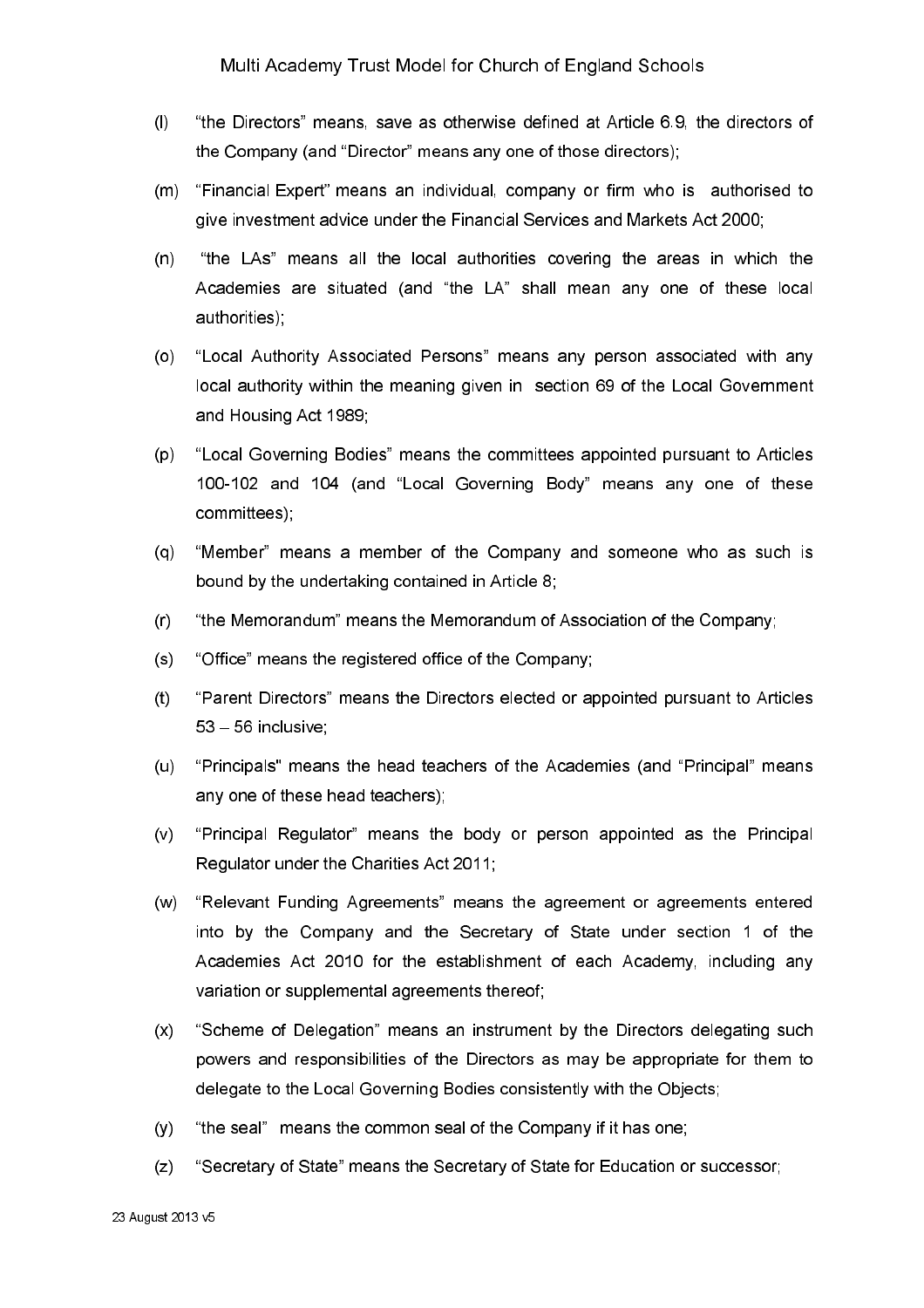- $(1)$ "the Directors" means, save as otherwise defined at Article 6.9, the directors of the Company (and "Director" means any one of those directors);
- "Financial Expert" means an individual, company or firm who is authorised to  $(m)$ give investment advice under the Financial Services and Markets Act 2000;
- "the LAs" means all the local authorities covering the areas in which the  $(n)$ Academies are situated (and "the LA" shall mean any one of these local authorities)
- "Local Authority Associated Persons" means any person associated with any  $(0)$ local authority within the meaning given in section 69 of the Local Government and Housing Act 1989;
- $(p)$ "Local Governing Bodies" means the committees appointed pursuant to Articles 100-102 and 104 (and "Local Governing Body" means any one of these committees);
- "Member" means a member of the Company and someone who as such is  $(q)$ bound by the undertaking contained in Article 8;
- $(r)$ "the Memorandum" means the Memorandum of Association of the Company;
- "Office" means the registered office of the Company;  $(s)$
- "Parent Directors" means the Directors elected or appointed pursuant to Articles  $(t)$ 53 - 56 inclusive
- $(u)$ "Principals" means the head teachers of the Academies (and "Principal" means any one of these head teachers);
- $(v)$ "Principal Regulator" means the body or person appointed as the Principal Regulator under the Charities Act 2011;
- $(w)$ "Relevant Funding Agreements" means the agreement or agreements entered into by the Company and the Secretary of State under section 1 of the Academies Act 2010 for the establishment of each Academy, including any variation or supplemental agreements thereof;
- $(x)$ "Scheme of Delegation" means an instrument by the Directors delegating such powers and responsibilities of the Directors as may be appropriate for them to delegate to the Local Governing Bodies consistently with the Objects;
- "the seal" means the common seal of the Company if it has one;  $(y)$
- $(z)$ "Secretary of State" means the Secretary of State for Education or successor: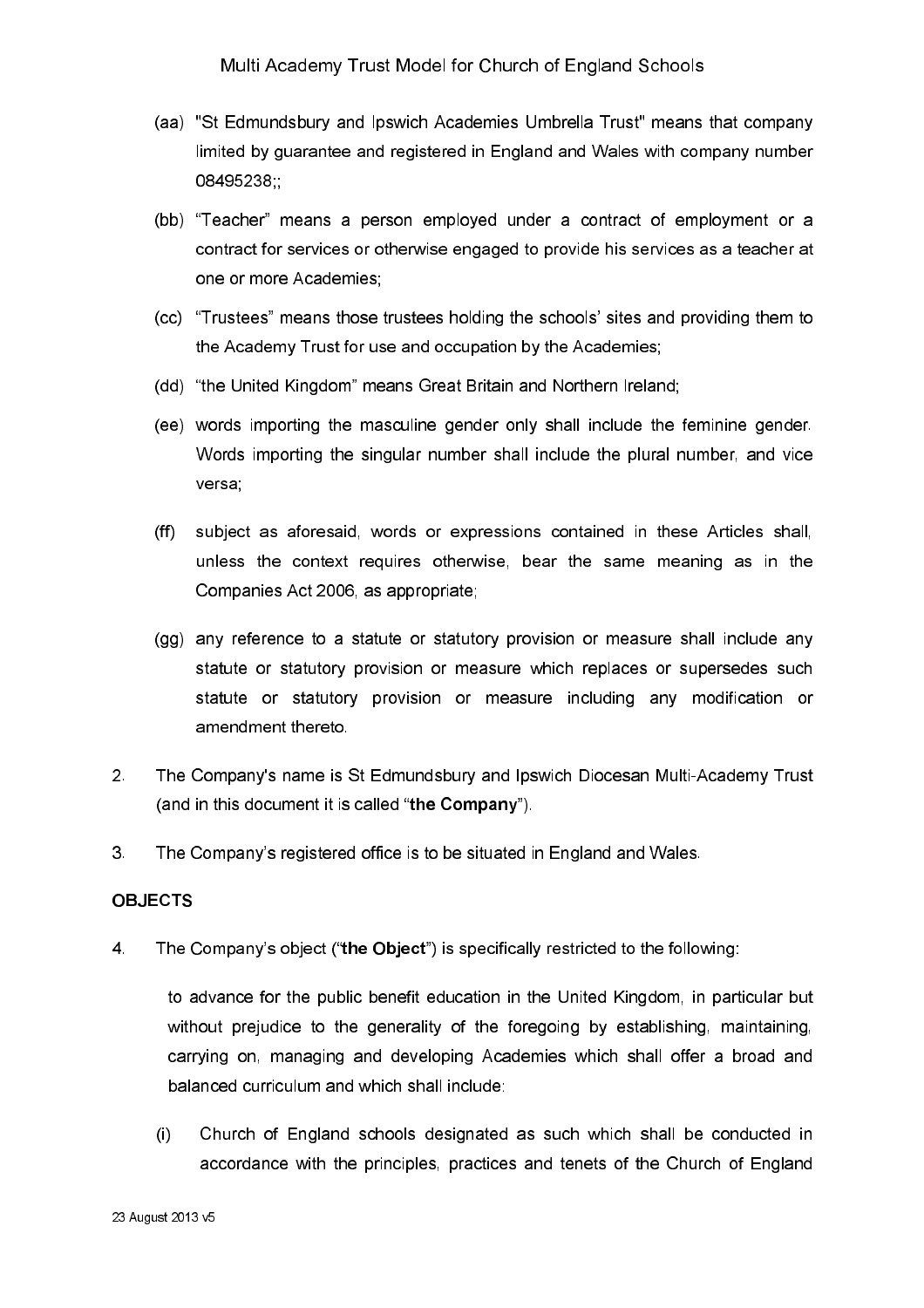- (aa) "St Edmundsbury and Ipswich Academies Umbrella Trust" means that company limited by quarantee and registered in England and Wales with company number 08495238
- (bb) "Teacher" means a person employed under a contract of employment or a contract for services or otherwise engaged to provide his services as a teacher at one or more Academies:
- (cc) "Trustees" means those trustees holding the schools' sites and providing them to the Academy Trust for use and occupation by the Academies;
- (dd) "the United Kingdom" means Great Britain and Northern Ireland;
- (ee) words importing the masculine gender only shall include the feminine gender. Words importing the singular number shall include the plural number, and vice versa
- subject as aforesaid, words or expressions contained in these Articles shall,  $(ff)$ unless the context requires otherwise, bear the same meaning as in the Companies Act 2006, as appropriate;
- (gg) any reference to a statute or statutory provision or measure shall include any statute or statutory provision or measure which replaces or supersedes such statute or statutory provision or measure including any modification or amendment thereto
- $2<sup>1</sup>$ The Company's name is St Edmundsbury and Ipswich Diocesan Multi-Academy Trust (and in this document it is called "the Company").
- $3<sub>1</sub>$ The Company's registered office is to be situated in England and Wales.

### **OBJECTS**

 $\overline{4}$ The Company's object ("the Object") is specifically restricted to the following:

to advance for the public benefit education in the United Kingdom, in particular but without prejudice to the generality of the foregoing by establishing, maintaining, carrying on, managing and developing Academies which shall offer a broad and balanced curriculum and which shall include:

 $(i)$ Church of England schools designated as such which shall be conducted in accordance with the principles, practices and tenets of the Church of England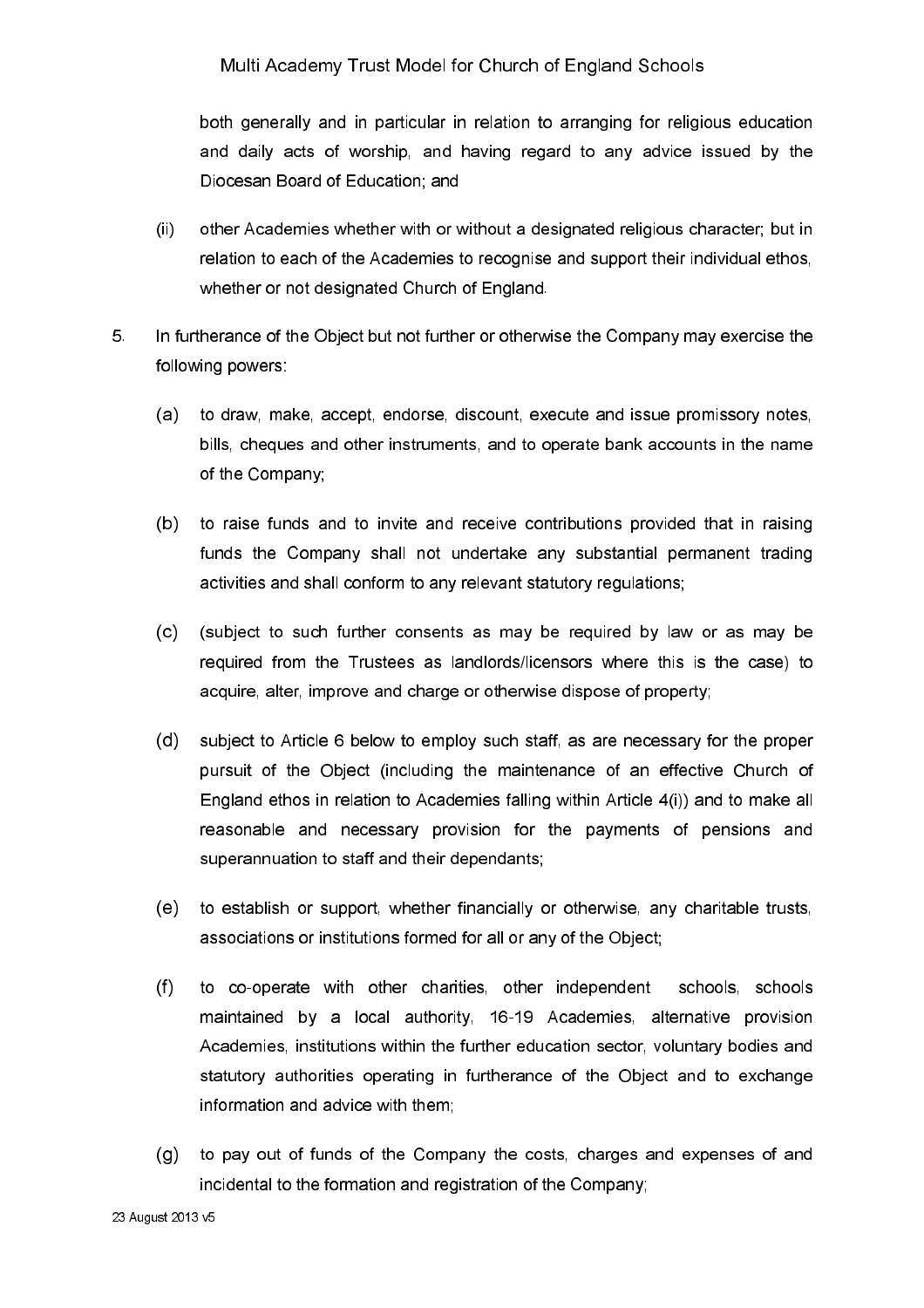both generally and in particular in relation to arranging for religious education and daily acts of worship, and having regard to any advice issued by the Diocesan Board of Education: and

- other Academies whether with or without a designated religious character; but in  $(ii)$ relation to each of the Academies to recognise and support their individual ethos. whether or not designated Church of England.
- $5<sub>1</sub>$ In furtherance of the Object but not further or otherwise the Company may exercise the following powers:
	- (a) to draw, make, accept, endorse, discount, execute and issue promissory notes, bills, cheques and other instruments, and to operate bank accounts in the name of the Company;
	- (b) to raise funds and to invite and receive contributions provided that in raising funds the Company shall not undertake any substantial permanent trading activities and shall conform to any relevant statutory regulations;
	- (subject to such further consents as may be required by law or as may be  $(c)$ required from the Trustees as landlords/licensors where this is the case) to acquire, alter, improve and charge or otherwise dispose of property;
	- $(d)$ subject to Article 6 below to employ such staff, as are necessary for the proper pursuit of the Object (including the maintenance of an effective Church of England ethos in relation to Academies falling within Article 4(i)) and to make all reasonable and necessary provision for the payments of pensions and superannuation to staff and their dependants;
	- $(e)$ to establish or support, whether financially or otherwise, any charitable trusts, associations or institutions formed for all or any of the Object;
	- $(f)$ to co-operate with other charities, other independent schools, schools maintained by a local authority, 16-19 Academies, alternative provision Academies, institutions within the further education sector, voluntary bodies and statutory authorities operating in furtherance of the Object and to exchange information and advice with them;
	- (g) to pay out of funds of the Company the costs, charges and expenses of and incidental to the formation and registration of the Company;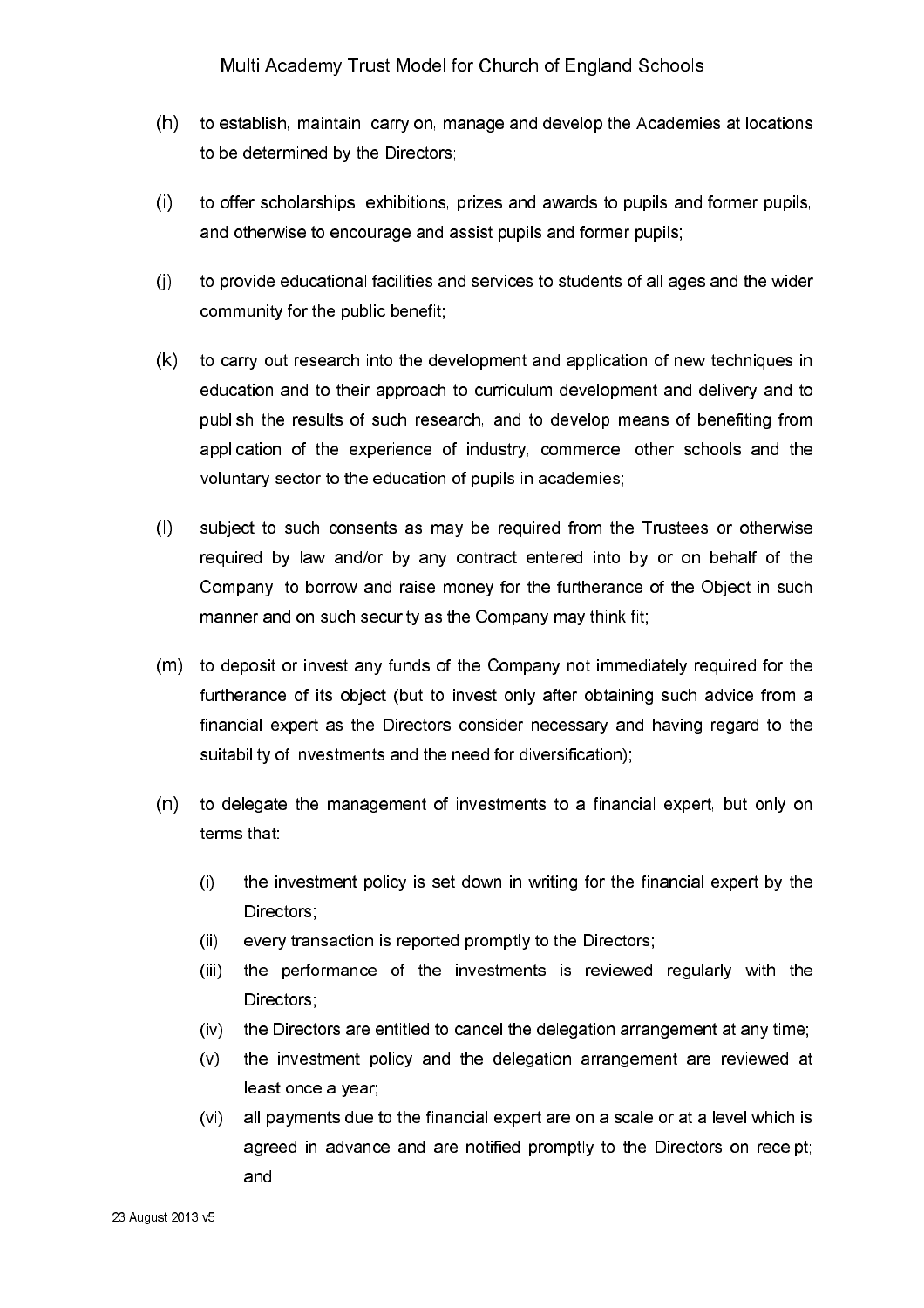- $(h)$ to establish, maintain, carry on, manage and develop the Academies at locations to be determined by the Directors:
- $(i)$ to offer scholarships, exhibitions, prizes and awards to pupils and former pupils, and otherwise to encourage and assist pupils and former pupils;
- $(i)$ to provide educational facilities and services to students of all ages and the wider community for the public benefit;
- $(k)$ to carry out research into the development and application of new techniques in education and to their approach to curriculum development and delivery and to publish the results of such research, and to develop means of benefiting from application of the experience of industry, commerce, other schools and the voluntary sector to the education of pupils in academies;
- $(1)$ subject to such consents as may be required from the Trustees or otherwise required by law and/or by any contract entered into by or on behalf of the Company, to borrow and raise money for the furtherance of the Object in such manner and on such security as the Company may think fit;
- (m) to deposit or invest any funds of the Company not immediately required for the furtherance of its object (but to invest only after obtaining such advice from a financial expert as the Directors consider necessary and having regard to the suitability of investments and the need for diversification);
- $(n)$ to delegate the management of investments to a financial expert, but only on terms that:
	- the investment policy is set down in writing for the financial expert by the  $(i)$ Directors;
	- every transaction is reported promptly to the Directors;  $(ii)$
	- the performance of the investments is reviewed regularly with the  $(iii)$ **Directors**
	- the Directors are entitled to cancel the delegation arrangement at any time;  $(iv)$
	- $(v)$ the investment policy and the delegation arrangement are reviewed at least once a year;
	- all payments due to the financial expert are on a scale or at a level which is  $(vi)$ agreed in advance and are notified promptly to the Directors on receipt; and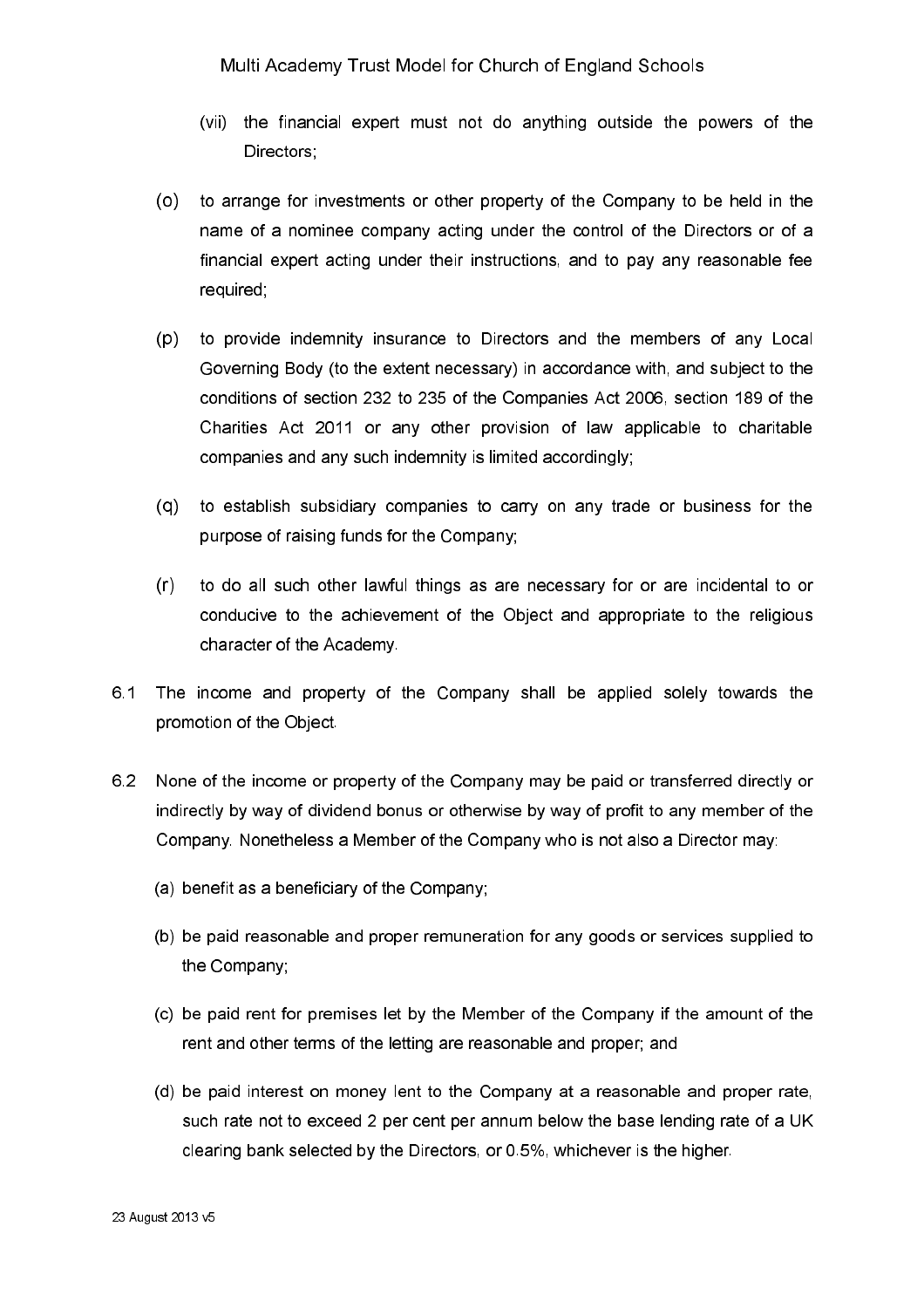- (vii) the financial expert must not do anything outside the powers of the Directors
- $(0)$ to arrange for investments or other property of the Company to be held in the name of a nominee company acting under the control of the Directors or of a financial expert acting under their instructions, and to pay any reasonable fee required;
- $(p)$ to provide indemnity insurance to Directors and the members of any Local Governing Body (to the extent necessary) in accordance with, and subject to the conditions of section 232 to 235 of the Companies Act 2006, section 189 of the Charities Act 2011 or any other provision of law applicable to charitable companies and any such indemnity is limited accordingly;
- (q) to establish subsidiary companies to carry on any trade or business for the purpose of raising funds for the Company;
- $(r)$ to do all such other lawful things as are necessary for or are incidental to or conducive to the achievement of the Object and appropriate to the religious character of the Academy.
- 6.1 The income and property of the Company shall be applied solely towards the promotion of the Object.
- 6.2 None of the income or property of the Company may be paid or transferred directly or indirectly by way of dividend bonus or otherwise by way of profit to any member of the Company. Nonetheless a Member of the Company who is not also a Director may:
	- (a) benefit as a beneficiary of the Company;
	- (b) be paid reasonable and proper remuneration for any goods or services supplied to the Company;
	- (c) be paid rent for premises let by the Member of the Company if the amount of the rent and other terms of the letting are reasonable and proper; and
	- (d) be paid interest on money lent to the Company at a reasonable and proper rate, such rate not to exceed 2 per cent per annum below the base lending rate of a UK clearing bank selected by the Directors, or 0.5%, whichever is the higher.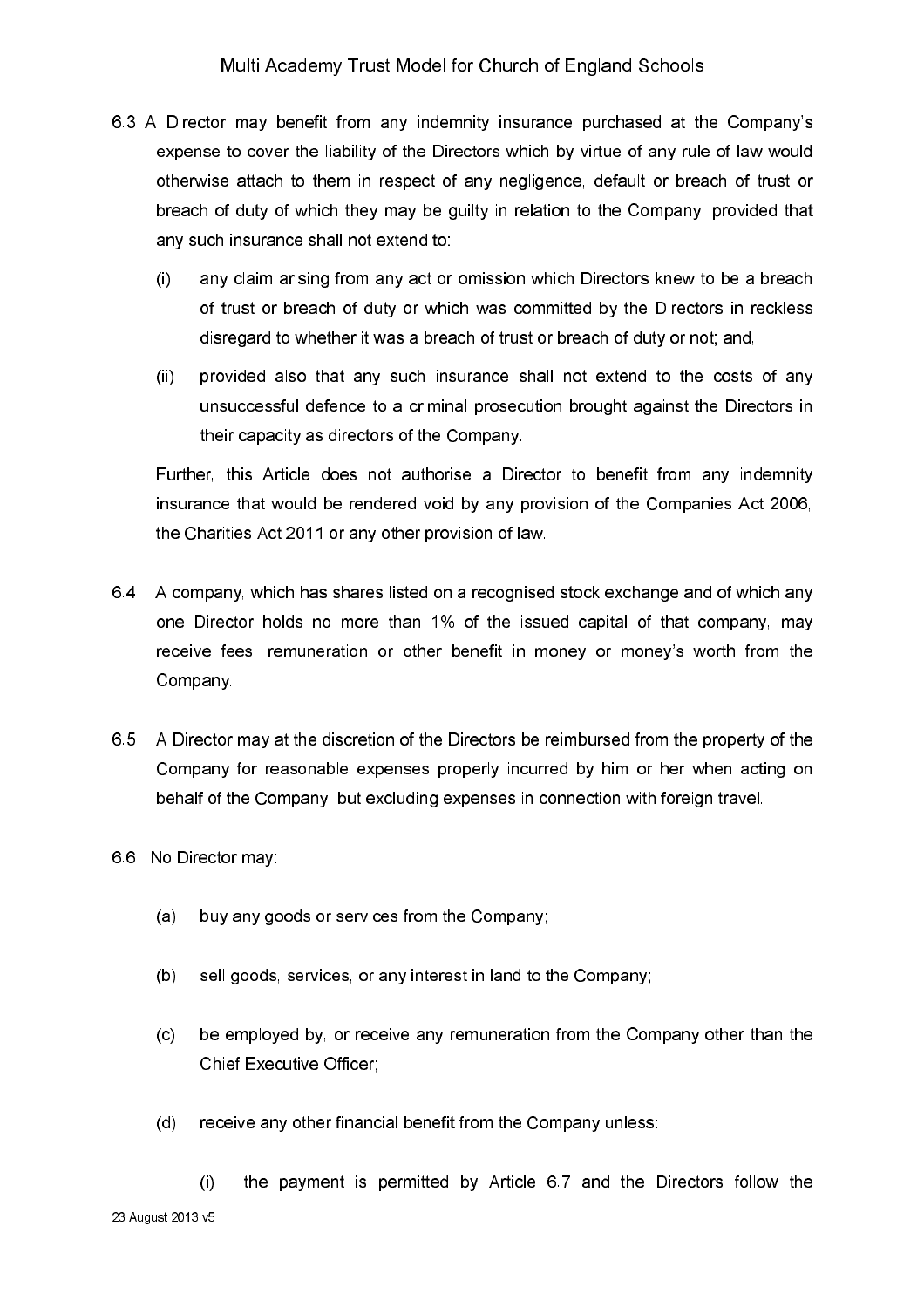- 6.3 A Director may benefit from any indemnity insurance purchased at the Company's expense to cover the liability of the Directors which by virtue of any rule of law would otherwise attach to them in respect of any negligence, default or breach of trust or breach of duty of which they may be guilty in relation to the Company: provided that any such insurance shall not extend to:
	- any claim arising from any act or omission which Directors knew to be a breach  $\left($ of trust or breach of duty or which was committed by the Directors in reckless disregard to whether it was a breach of trust or breach of duty or not; and,
	- provided also that any such insurance shall not extend to the costs of any  $(ii)$ unsuccessful defence to a criminal prosecution brought against the Directors in their capacity as directors of the Company.

Further, this Article does not authorise a Director to benefit from any indemnity insurance that would be rendered void by any provision of the Companies Act 2006, the Charities Act 2011 or any other provision of law.

- 6.4 A company, which has shares listed on a recognised stock exchange and of which any one Director holds no more than 1% of the issued capital of that company, may receive fees, remuneration or other benefit in money or money's worth from the Company.
- 6.5 A Director may at the discretion of the Directors be reimbursed from the property of the Company for reasonable expenses properly incurred by him or her when acting on behalf of the Company, but excluding expenses in connection with foreign travel.
- 6.6 No Director may
	- buy any goods or services from the Company;  $(a)$
	- sell goods, services, or any interest in land to the Company;  $(b)$
	- be employed by, or receive any remuneration from the Company other than the  $(c)$ Chief Executive Officer:
	- receive any other financial benefit from the Company unless:  $(d)$

the payment is permitted by Article 6.7 and the Directors follow the  $(i)$ 23 August 2013 v5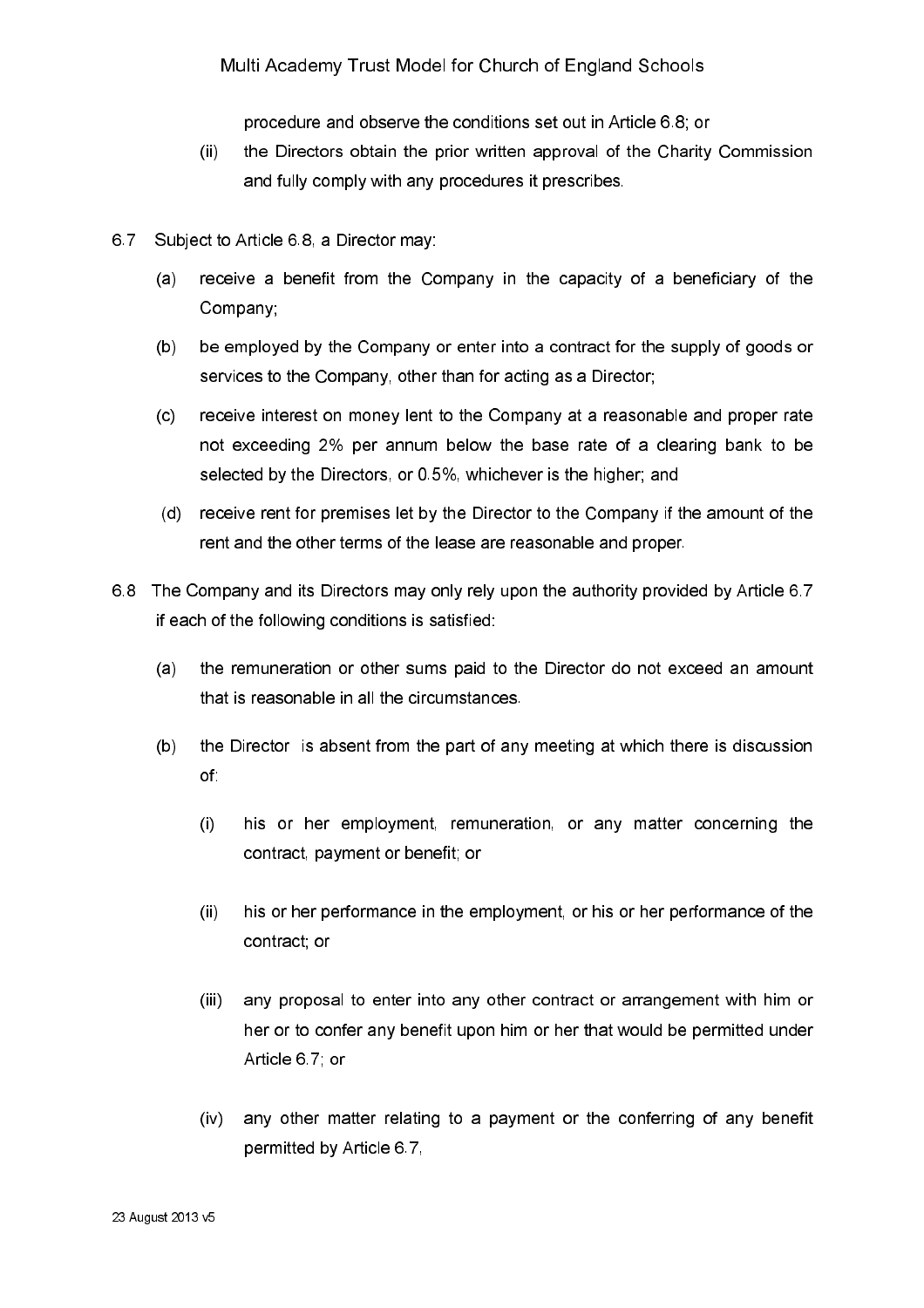procedure and observe the conditions set out in Article 6.8, or

- $(ii)$ the Directors obtain the prior written approval of the Charity Commission and fully comply with any procedures it prescribes.
- Subject to Article 6.8, a Director may: 67
	- $(a)$ receive a benefit from the Company in the capacity of a beneficiary of the Company:
	- $(b)$ be employed by the Company or enter into a contract for the supply of goods or services to the Company, other than for acting as a Director;
	- $(c)$ receive interest on money lent to the Company at a reasonable and proper rate not exceeding 2% per annum below the base rate of a clearing bank to be selected by the Directors, or 0.5%, whichever is the higher; and
	- (d) receive rent for premises let by the Director to the Company if the amount of the rent and the other terms of the lease are reasonable and proper.
- 6.8 The Company and its Directors may only rely upon the authority provided by Article 6.7 if each of the following conditions is satisfied:
	- the remuneration or other sums paid to the Director do not exceed an amount  $(a)$ that is reasonable in all the circumstances.
	- $(b)$ the Director is absent from the part of any meeting at which there is discussion of.
		- his or her employment, remuneration, or any matter concerning the  $(i)$ contract, payment or benefit; or
		- $(ii)$ his or her performance in the employment, or his or her performance of the contract; or
		- any proposal to enter into any other contract or arrangement with him or  $(iii)$ her or to confer any benefit upon him or her that would be permitted under Article 67 or
		- $(iv)$ any other matter relating to a payment or the conferring of any benefit permitted by Article 6.7.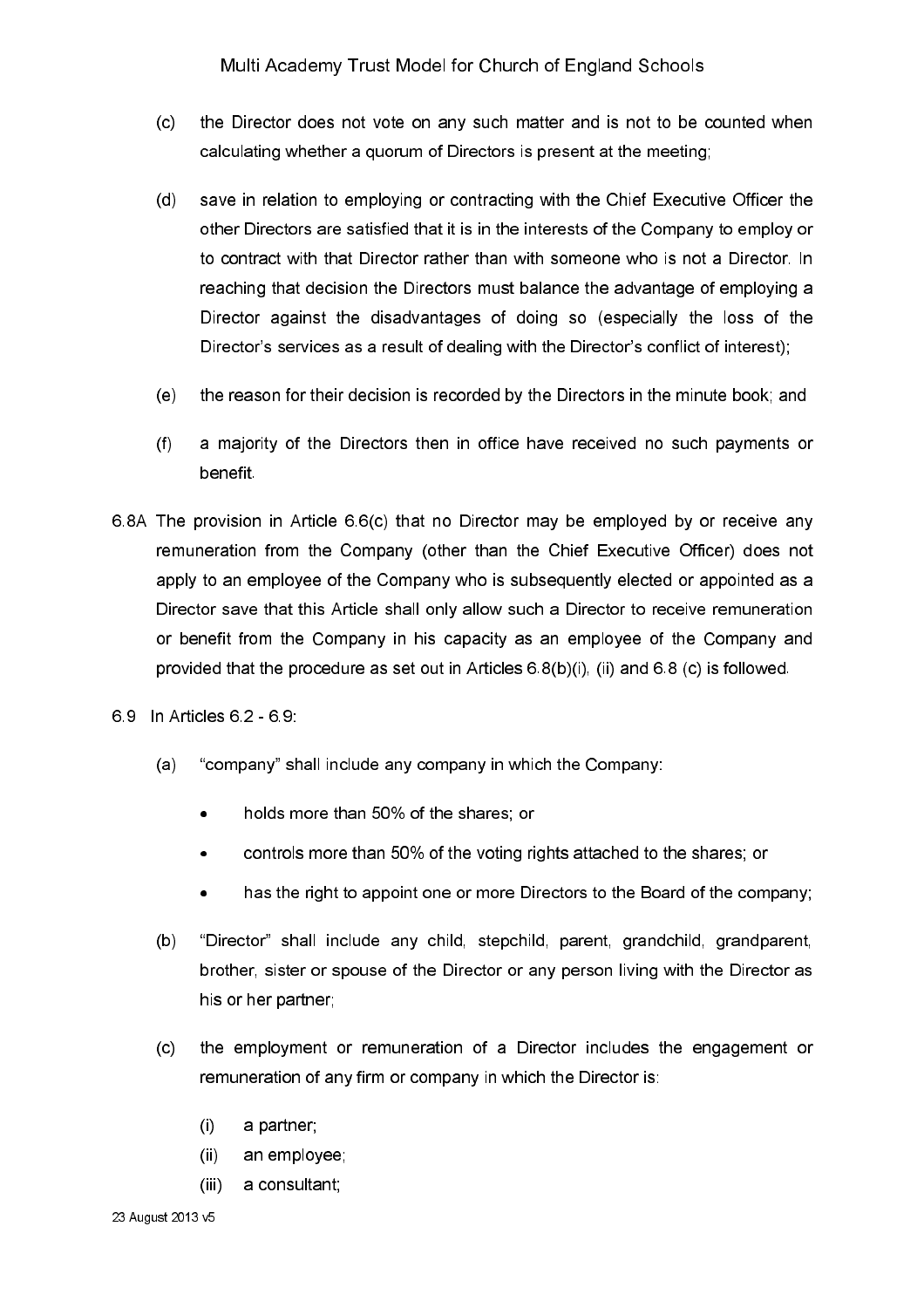- $(c)$ the Director does not vote on any such matter and is not to be counted when calculating whether a quorum of Directors is present at the meeting;
- $(d)$ save in relation to emploving or contracting with the Chief Executive Officer the other Directors are satisfied that it is in the interests of the Company to employ or to contract with that Director rather than with someone who is not a Director. In reaching that decision the Directors must balance the advantage of employing a Director against the disadvantages of doing so (especially the loss of the Director's services as a result of dealing with the Director's conflict of interest);
- the reason for their decision is recorded by the Directors in the minute book; and  $(e)$
- a majority of the Directors then in office have received no such payments or  $(f)$ benefit
- 6.8A The provision in Article 6.6(c) that no Director may be employed by or receive any remuneration from the Company (other than the Chief Executive Officer) does not apply to an employee of the Company who is subsequently elected or appointed as a Director save that this Article shall only allow such a Director to receive remuneration or benefit from the Company in his capacity as an employee of the Company and provided that the procedure as set out in Articles 6.8(b)(i), (ii) and 6.8 (c) is followed.
- 69 In Articles 62 69
	- $(a)$ "company" shall include any company in which the Company:
		- holds more than 50% of the shares; or  $\bullet$
		- controls more than 50% of the voting rights attached to the shares; or  $\bullet$
		- has the right to appoint one or more Directors to the Board of the company;  $\bullet$
	- "Director" shall include any child, stepchild, parent, grandchild, grandparent,  $(b)$ brother, sister or spouse of the Director or any person living with the Director as his or her partner;
	- $(c)$ the employment or remuneration of a Director includes the engagement or remuneration of any firm or company in which the Director is:
		- $(i)$ a partner;
		- $(ii)$ an employee;
		- a consultant;  $(iii)$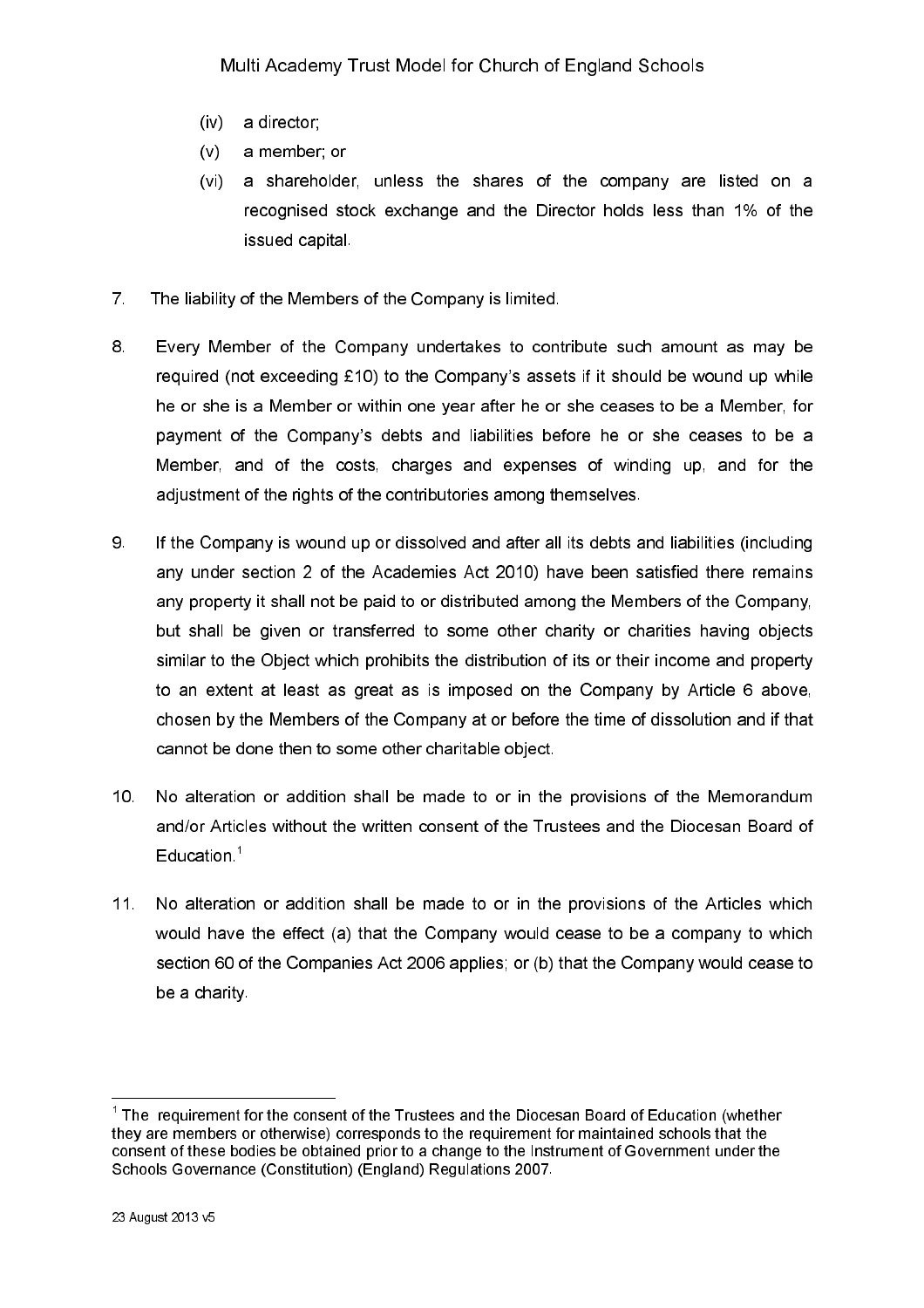- $(iv)$ a director:
- $(v)$ a member; or
- a shareholder, unless the shares of the company are listed on a  $(vi)$ recognised stock exchange and the Director holds less than 1% of the issued capital
- $\overline{7}$ The liability of the Members of the Company is limited.
- 8. Every Member of the Company undertakes to contribute such amount as may be required (not exceeding £10) to the Company's assets if it should be wound up while he or she is a Member or within one year after he or she ceases to be a Member, for payment of the Company's debts and liabilities before he or she ceases to be a Member, and of the costs, charges and expenses of winding up, and for the adjustment of the rights of the contributories among themselves.
- 9 If the Company is wound up or dissolved and after all its debts and liabilities (including any under section 2 of the Academies Act 2010) have been satisfied there remains any property it shall not be paid to or distributed among the Members of the Company, but shall be given or transferred to some other charity or charities having objects similar to the Object which prohibits the distribution of its or their income and property to an extent at least as great as is imposed on the Company by Article 6 above. chosen by the Members of the Company at or before the time of dissolution and if that cannot be done then to some other charitable object.
- $10<sup>°</sup>$ No alteration or addition shall be made to or in the provisions of the Memorandum and/or Articles without the written consent of the Trustees and the Diocesan Board of Education<sup>1</sup>
- $11.$ No alteration or addition shall be made to or in the provisions of the Articles which would have the effect (a) that the Company would cease to be a company to which section 60 of the Companies Act 2006 applies; or (b) that the Company would cease to be a charity

 $1$  The requirement for the consent of the Trustees and the Diocesan Board of Education (whether they are members or otherwise) corresponds to the requirement for maintained schools that the consent of these bodies be obtained prior to a change to the Instrument of Government under the Schools Governance (Constitution) (England) Regulations 2007.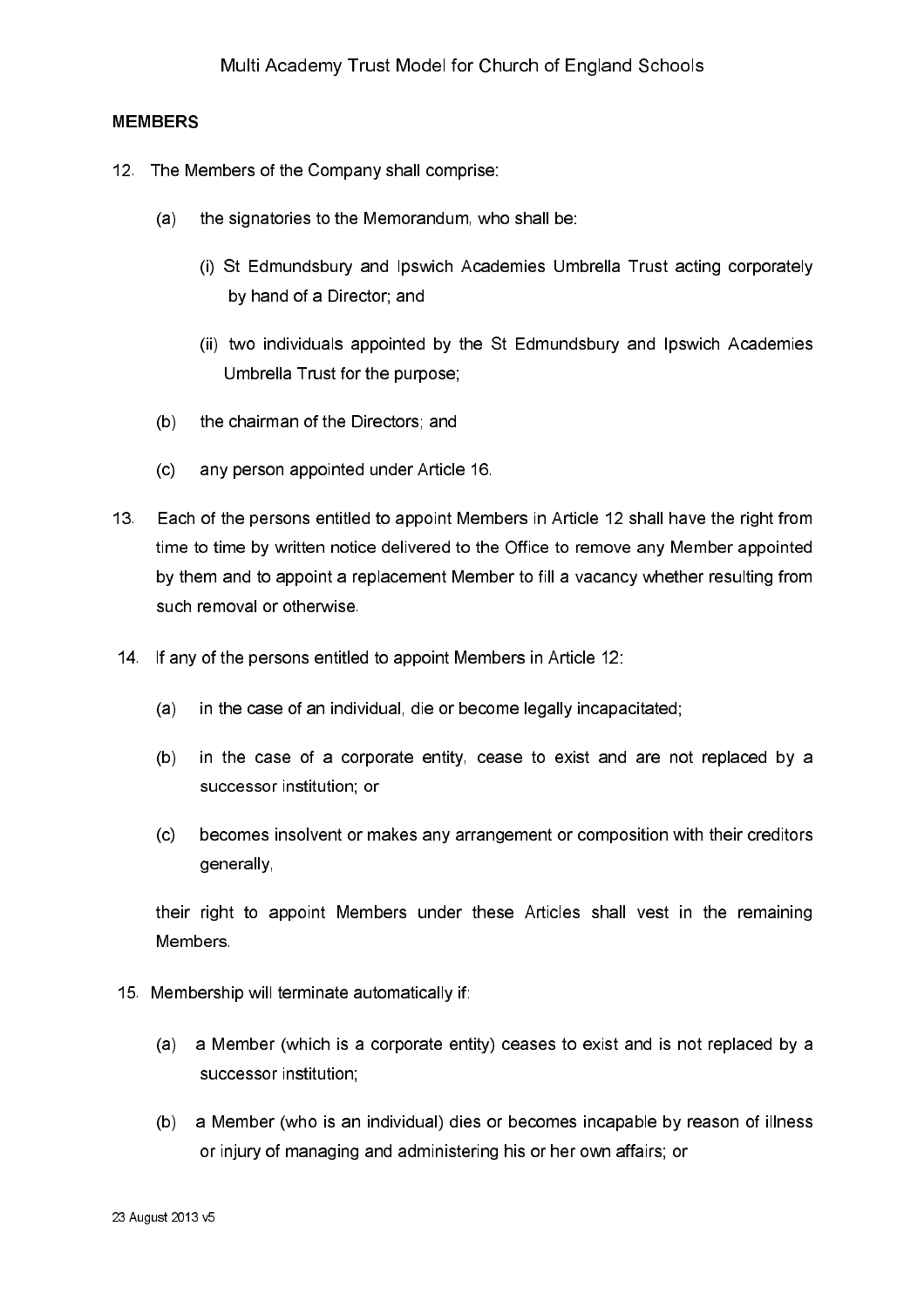### **MEMBERS**

- 12. The Members of the Company shall comprise:
	- the signatories to the Memorandum, who shall be:  $(a)$ 
		- (i) St Edmundsbury and Ipswich Academies Umbrella Trust acting corporately by hand of a Director; and
		- (ii) two individuals appointed by the St Edmundsbury and Ipswich Academies Umbrella Trust for the purpose:
	- the chairman of the Directors; and  $(b)$
	- any person appointed under Article 16.  $(c)$
- $13<sub>1</sub>$ Each of the persons entitled to appoint Members in Article 12 shall have the right from time to time by written notice delivered to the Office to remove any Member appointed by them and to appoint a replacement Member to fill a vacancy whether resulting from such removal or otherwise.
- 14. If any of the persons entitled to appoint Members in Article 12:
	- in the case of an individual, die or become legally incapacitated;  $(a)$
	- in the case of a corporate entity, cease to exist and are not replaced by a  $(b)$ successor institution; or
	- becomes insolvent or makes any arrangement or composition with their creditors  $(c)$ generally,

their right to appoint Members under these Articles shall vest in the remaining Members.

- 15. Membership will terminate automatically if:
	- a Member (which is a corporate entity) ceases to exist and is not replaced by a  $(a)$ successor institution;
	- a Member (who is an individual) dies or becomes incapable by reason of illness  $(b)$ or injury of managing and administering his or her own affairs; or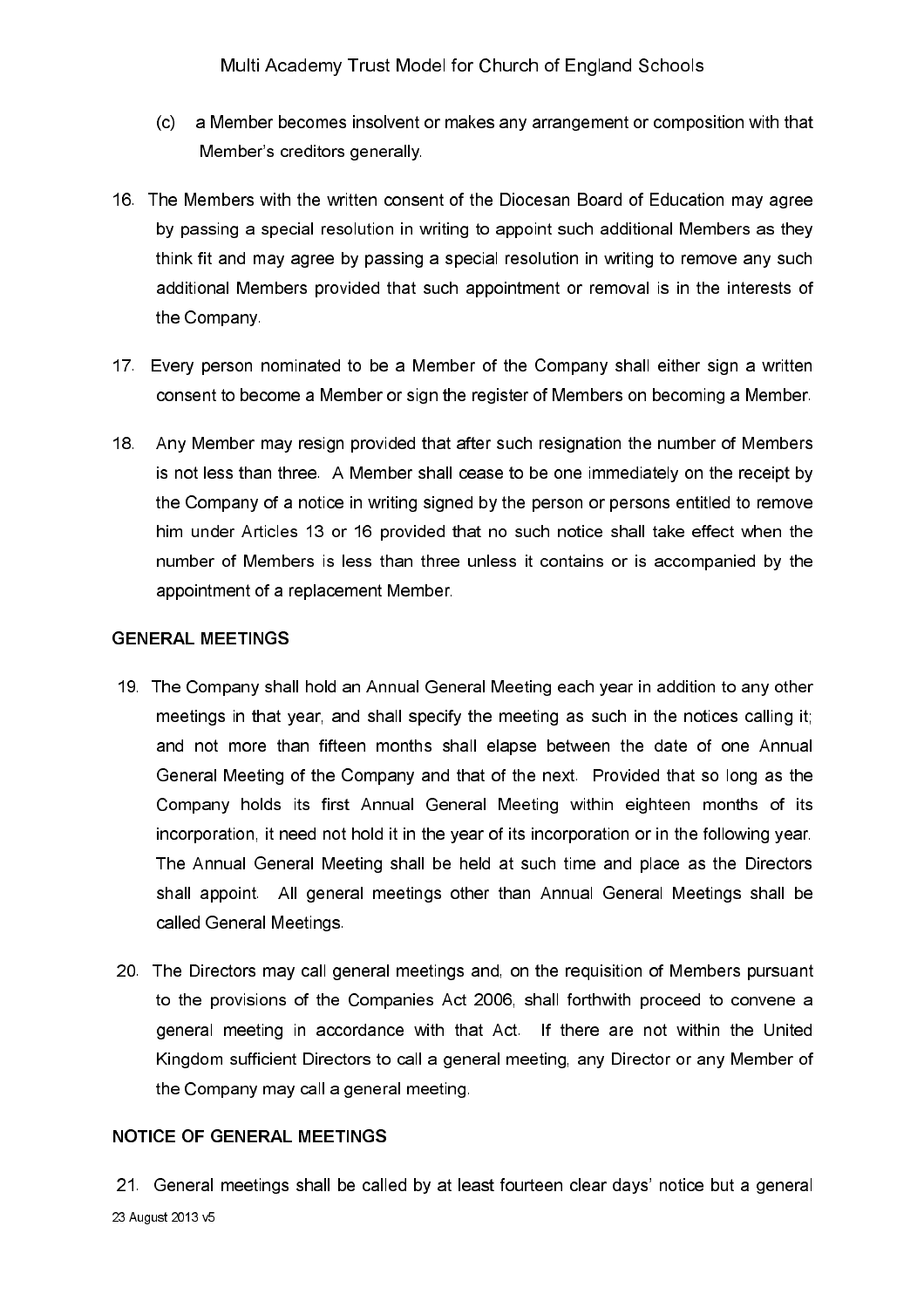- $(C)$ a Member becomes insolvent or makes any arrangement or composition with that Member's creditors generally.
- 16. The Members with the written consent of the Diocesan Board of Education may agree by passing a special resolution in writing to appoint such additional Members as they think fit and may agree by passing a special resolution in writing to remove any such additional Members provided that such appointment or removal is in the interests of the Company.
- 17. Every person nominated to be a Member of the Company shall either sign a written consent to become a Member or sign the register of Members on becoming a Member.
- 18. Any Member may resign provided that after such resignation the number of Members is not less than three. A Member shall cease to be one immediately on the receipt by the Company of a notice in writing signed by the person or persons entitled to remove him under Articles 13 or 16 provided that no such notice shall take effect when the number of Members is less than three unless it contains or is accompanied by the appointment of a replacement Member.

### **GENERAL MEETINGS**

- 19. The Company shall hold an Annual General Meeting each year in addition to any other meetings in that year, and shall specify the meeting as such in the notices calling it; and not more than fifteen months shall elapse between the date of one Annual General Meeting of the Company and that of the next. Provided that so long as the Company holds its first Annual General Meeting within eighteen months of its incorporation, it need not hold it in the year of its incorporation or in the following year. The Annual General Meeting shall be held at such time and place as the Directors shall appoint. All general meetings other than Annual General Meetings shall be called General Meetings.
- 20. The Directors may call general meetings and, on the requisition of Members pursuant to the provisions of the Companies Act 2006, shall forthwith proceed to convene a general meeting in accordance with that Act. If there are not within the United Kingdom sufficient Directors to call a general meeting, any Director or any Member of the Company may call a general meeting.

### **NOTICE OF GENERAL MEETINGS**

21. General meetings shall be called by at least fourteen clear days' notice but a general 23 August 2013 v5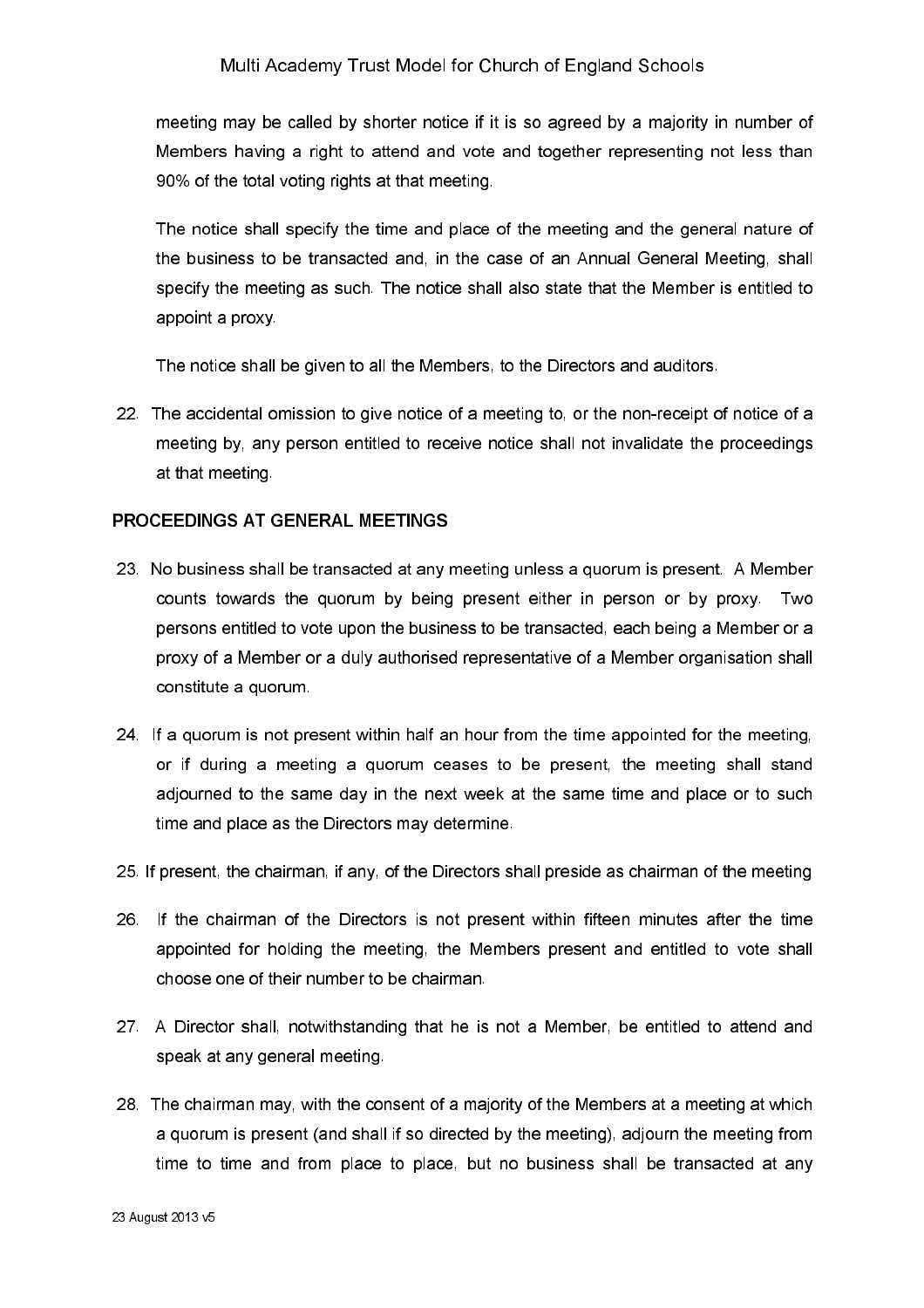meeting may be called by shorter notice if it is so agreed by a majority in number of Members having a right to attend and vote and together representing not less than 90% of the total voting rights at that meeting.

The notice shall specify the time and place of the meeting and the general nature of the business to be transacted and, in the case of an Annual General Meeting, shall specify the meeting as such. The notice shall also state that the Member is entitled to appoint a proxy

The notice shall be given to all the Members, to the Directors and auditors.

22. The accidental omission to give notice of a meeting to, or the non-receipt of notice of a meeting by, any person entitled to receive notice shall not invalidate the proceedings at that meeting

### PROCEEDINGS AT GENERAL MEETINGS

- 23. No business shall be transacted at any meeting unless a quorum is present. A Member counts towards the quorum by being present either in person or by proxy. Two persons entitled to vote upon the business to be transacted, each being a Member or a proxy of a Member or a duly authorised representative of a Member organisation shall constitute a quorum.
- 24. If a quorum is not present within half an hour from the time appointed for the meeting, or if during a meeting a quorum ceases to be present, the meeting shall stand adjourned to the same day in the next week at the same time and place or to such time and place as the Directors may determine.
- 25. If present, the chairman, if any, of the Directors shall preside as chairman of the meeting
- 26. If the chairman of the Directors is not present within fifteen minutes after the time appointed for holding the meeting, the Members present and entitled to vote shall choose one of their number to be chairman.
- 27. A Director shall, notwithstanding that he is not a Member, be entitled to attend and speak at any general meeting.
- 28. The chairman may, with the consent of a majority of the Members at a meeting at which a guorum is present (and shall if so directed by the meeting), adiourn the meeting from time to time and from place to place, but no business shall be transacted at any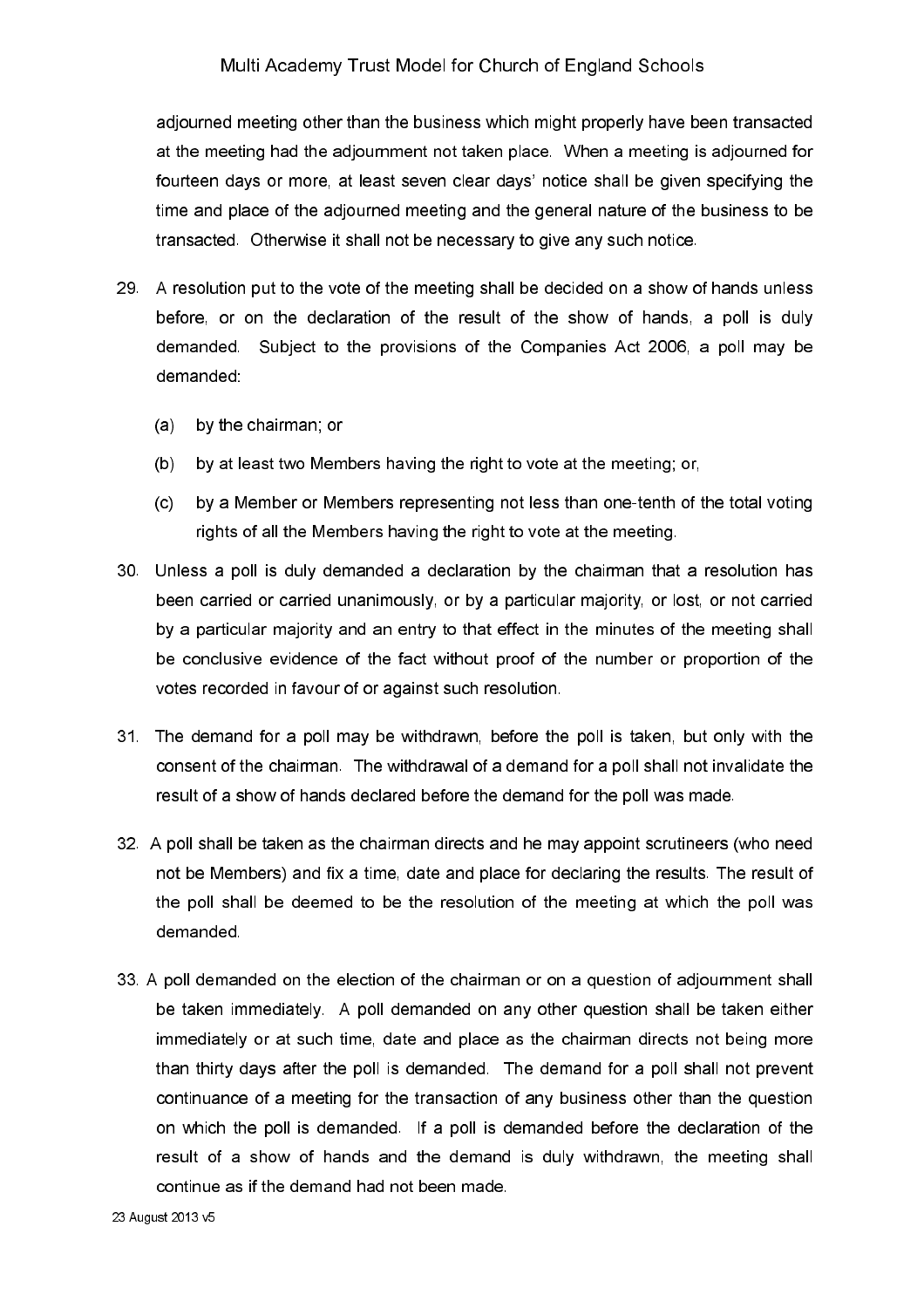adjourned meeting other than the business which might properly have been transacted at the meeting had the adjournment not taken place. When a meeting is adjourned for fourteen days or more, at least seven clear days' notice shall be given specifying the time and place of the adjourned meeting and the general nature of the business to be transacted. Otherwise it shall not be necessary to give any such notice.

- 29. A resolution put to the vote of the meeting shall be decided on a show of hands unless before, or on the declaration of the result of the show of hands, a poll is duly demanded. Subject to the provisions of the Companies Act 2006, a poll may be demanded:
	- $(a)$ by the chairman, or
	- by at least two Members having the right to vote at the meeting; or,  $(b)$
	- $(c)$ by a Member or Members representing not less than one-tenth of the total voting rights of all the Members having the right to vote at the meeting.
- 30. Unless a poll is duly demanded a declaration by the chairman that a resolution has been carried or carried unanimously, or by a particular majority, or lost, or not carried by a particular majority and an entry to that effect in the minutes of the meeting shall be conclusive evidence of the fact without proof of the number or proportion of the votes recorded in favour of or against such resolution.
- 31. The demand for a poll may be withdrawn, before the poll is taken, but only with the consent of the chairman. The withdrawal of a demand for a poll shall not invalidate the result of a show of hands declared before the demand for the poll was made.
- 32. A poll shall be taken as the chairman directs and he may appoint scrutineers (who need not be Members) and fix a time, date and place for declaring the results. The result of the poll shall be deemed to be the resolution of the meeting at which the poll was demanded
- 33. A poll demanded on the election of the chairman or on a question of adjournment shall be taken immediately. A poll demanded on any other question shall be taken either immediately or at such time, date and place as the chairman directs not being more than thirty days after the poll is demanded. The demand for a poll shall not prevent continuance of a meeting for the transaction of any business other than the question on which the poll is demanded. If a poll is demanded before the declaration of the result of a show of hands and the demand is duly withdrawn, the meeting shall continue as if the demand had not been made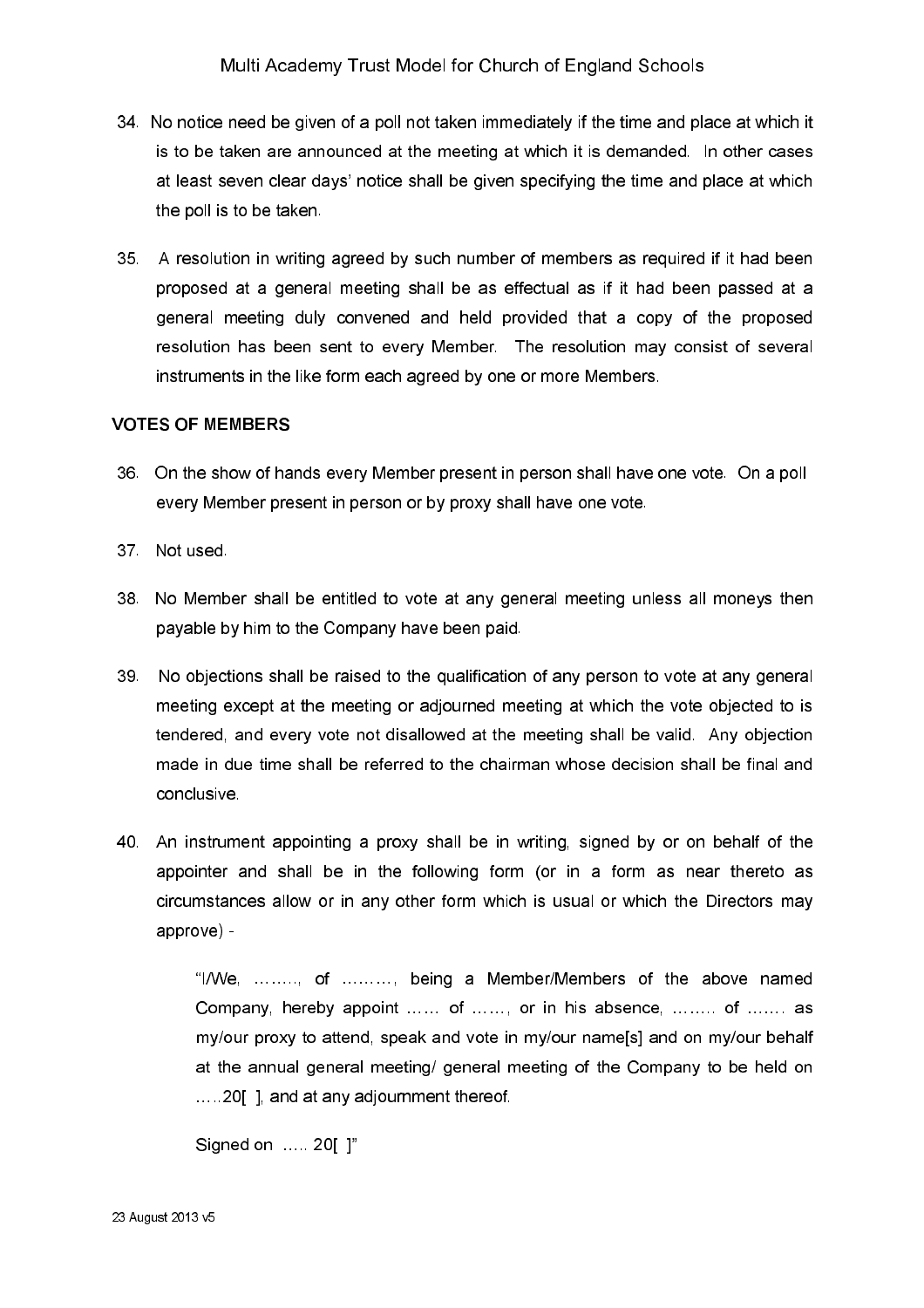- 34. No notice need be given of a poll not taken immediately if the time and place at which it is to be taken are announced at the meeting at which it is demanded. In other cases at least seven clear days' notice shall be given specifying the time and place at which the poll is to be taken.
- 35. A resolution in writing agreed by such number of members as required if it had been proposed at a general meeting shall be as effectual as if it had been passed at a general meeting duly convened and held provided that a copy of the proposed resolution has been sent to every Member. The resolution may consist of several instruments in the like form each agreed by one or more Members.

#### **VOTES OF MEMBERS**

- 36. On the show of hands every Member present in person shall have one vote. On a poll every Member present in person or by proxy shall have one vote.
- 37 Not used
- 38. No Member shall be entitled to vote at any general meeting unless all moneys then payable by him to the Company have been paid.
- 39. No objections shall be raised to the qualification of any person to vote at any general meeting except at the meeting or adjourned meeting at which the vote objected to is tendered, and every vote not disallowed at the meeting shall be valid. Any objection made in due time shall be referred to the chairman whose decision shall be final and conclusive
- 40. An instrument appointing a proxy shall be in writing, signed by or on behalf of the appointer and shall be in the following form (or in a form as near thereto as circumstances allow or in any other form which is usual or which the Directors may approve) -

"I/We, ........, of ........., being a Member/Members of the above named Company, hereby appoint ...... of ......, or in his absence, ........ of ....... as my/our proxy to attend, speak and vote in my/our name[s] and on my/our behalf at the annual general meeting/ general meeting of the Company to be held on .....20 1, and at any adjournment thereof.

```
Signed on ..... 20[ ]"
```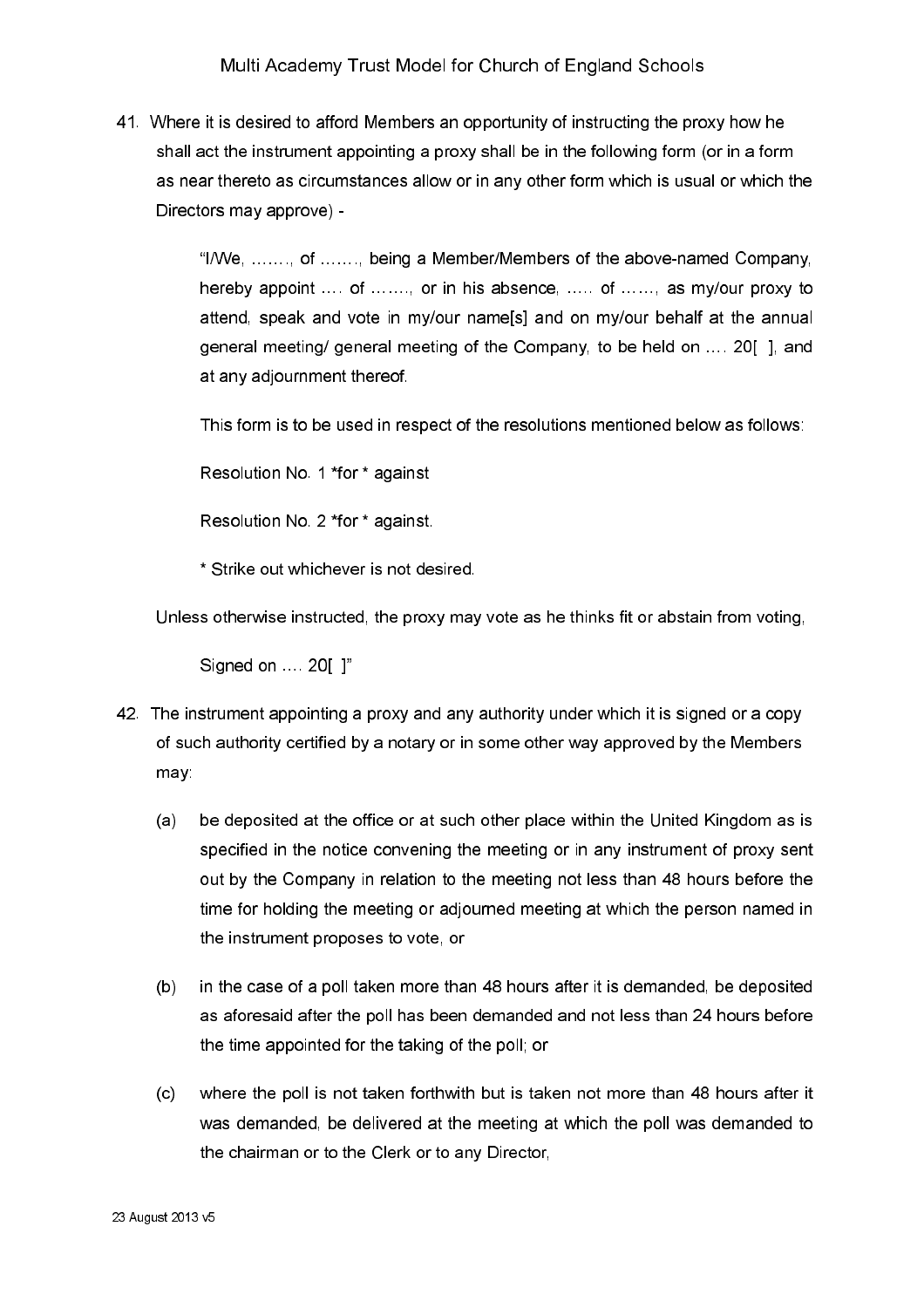41. Where it is desired to afford Members an opportunity of instructing the proxy how he shall act the instrument appointing a proxy shall be in the following form (or in a form as near thereto as circumstances allow or in any other form which is usual or which the Directors may approve) -

> "I/We, ......., of ......., being a Member/Members of the above-named Company, hereby appoint ... of ......, or in his absence, ..... of ....., as my/our proxy to attend, speak and vote in my/our namels] and on my/our behalf at the annual general meeting/ general meeting of the Company, to be held on .... 20[], and at any adjournment thereof.

This form is to be used in respect of the resolutions mentioned below as follows:

Resolution No. 1 \*for \* against

Resolution No. 2 \*for \* against.

\* Strike out whichever is not desired.

Unless otherwise instructed, the proxy may vote as he thinks fit or abstain from voting,

Signed on ... 20[ ]"

- 42. The instrument appointing a proxy and any authority under which it is signed or a copy of such authority certified by a notary or in some other way approved by the Members may:
	- $(a)$ be deposited at the office or at such other place within the United Kingdom as is specified in the notice convening the meeting or in any instrument of proxy sent out by the Company in relation to the meeting not less than 48 hours before the time for holding the meeting or adjourned meeting at which the person named in the instrument proposes to vote, or
	- in the case of a poll taken more than 48 hours after it is demanded, be deposited  $(b)$ as aforesaid after the poll has been demanded and not less than 24 hours before the time appointed for the taking of the poll; or
	- where the poll is not taken forthwith but is taken not more than 48 hours after it  $(c)$ was demanded, be delivered at the meeting at which the poll was demanded to the chairman or to the Clerk or to any Director.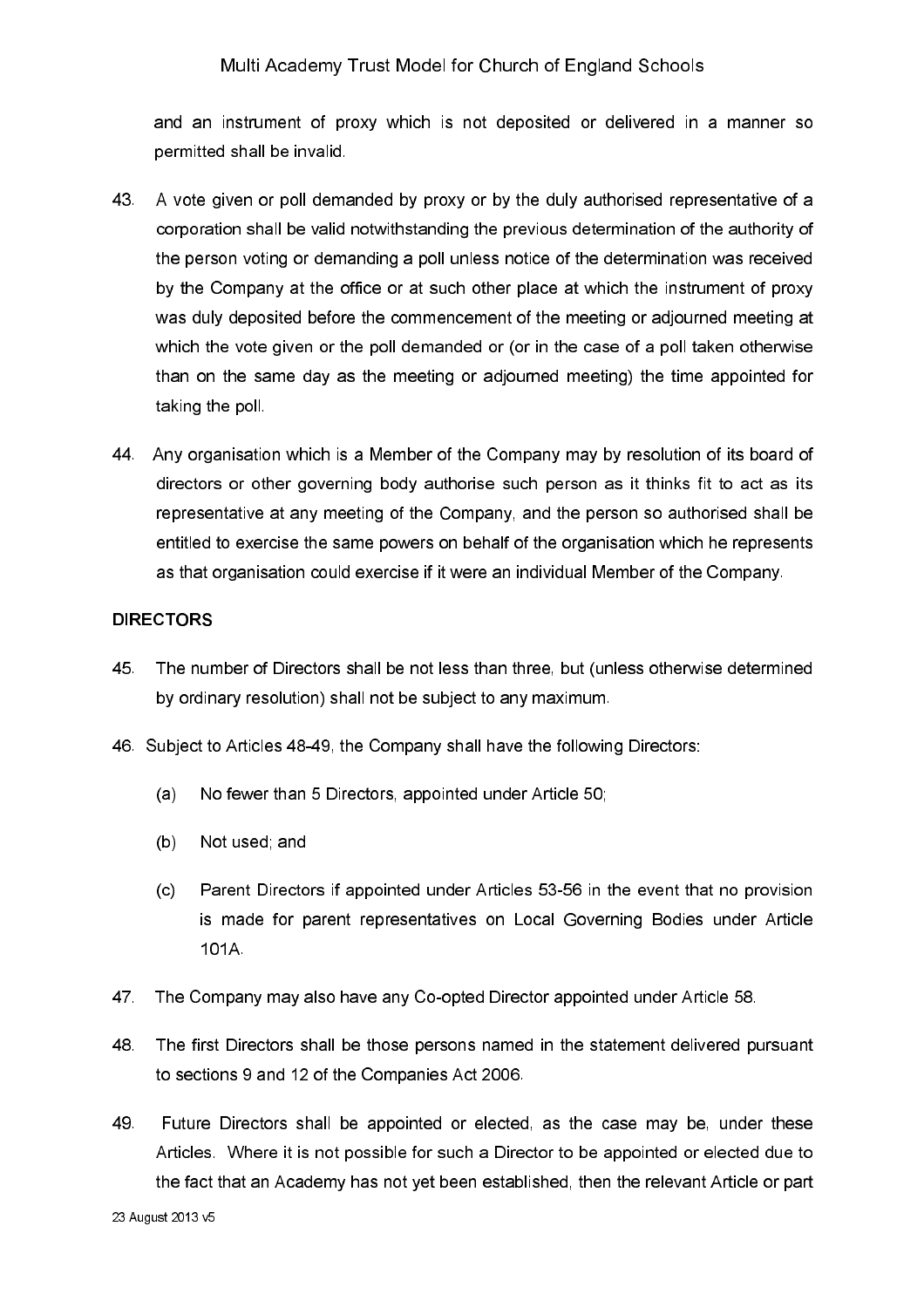and an instrument of proxy which is not deposited or delivered in a manner so permitted shall be invalid.

- 43. A vote given or poll demanded by proxy or by the duly authorised representative of a corporation shall be valid notwithstanding the previous determination of the authority of the person voting or demanding a poll unless notice of the determination was received by the Company at the office or at such other place at which the instrument of proxy was duly deposited before the commencement of the meeting or adjourned meeting at which the vote given or the poll demanded or (or in the case of a poll taken otherwise than on the same day as the meeting or adjourned meeting) the time appointed for taking the poll.
- 44. Any organisation which is a Member of the Company may by resolution of its board of directors or other governing body authorise such person as it thinks fit to act as its representative at any meeting of the Company, and the person so authorised shall be entitled to exercise the same powers on behalf of the organisation which he represents as that organisation could exercise if it were an individual Member of the Company.

#### **DIRECTORS**

- 45 The number of Directors shall be not less than three, but (unless otherwise determined by ordinary resolution) shall not be subject to any maximum.
- 46. Subject to Articles 48-49, the Company shall have the following Directors:
	- No fewer than 5 Directors, appointed under Article 50;  $(a)$
	- $(b)$ Not used; and
	- $(c)$ Parent Directors if appointed under Articles 53-56 in the event that no provision is made for parent representatives on Local Governing Bodies under Article 101A
- 47 The Company may also have any Co-opted Director appointed under Article 58.
- The first Directors shall be those persons named in the statement delivered pursuant 48 to sections 9 and 12 of the Companies Act 2006.
- 49 Future Directors shall be appointed or elected, as the case may be, under these Articles. Where it is not possible for such a Director to be appointed or elected due to the fact that an Academy has not yet been established, then the relevant Article or part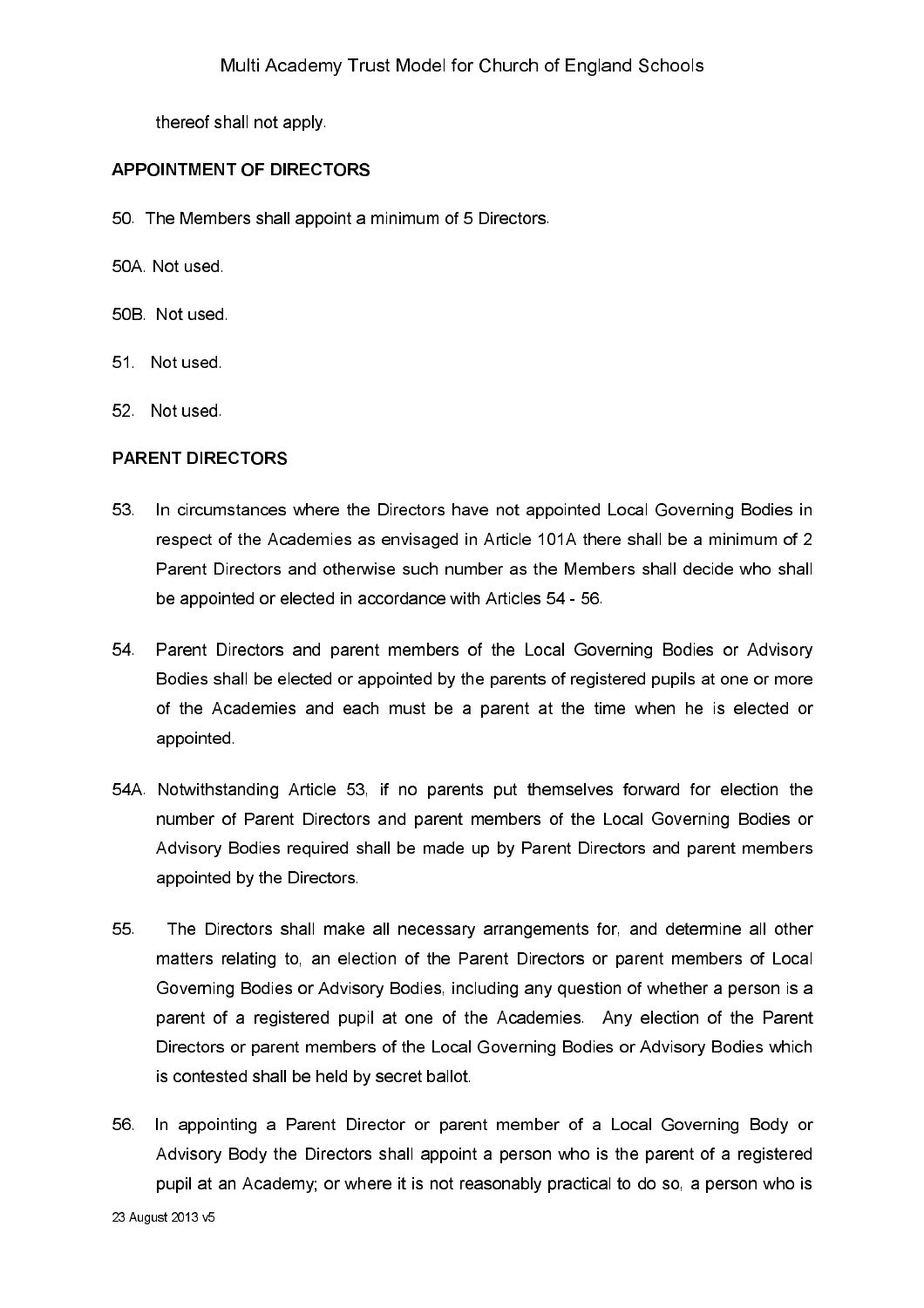thereof shall not apply.

#### **APPOINTMENT OF DIRECTORS**

- 50. The Members shall appoint a minimum of 5 Directors.
- 50A Not used
- 50B Not used
- 51 Not used
- 52 Not used

#### **PARENT DIRECTORS**

- In circumstances where the Directors have not appointed Local Governing Bodies in 53 respect of the Academies as envisaged in Article 101A there shall be a minimum of 2 Parent Directors and otherwise such number as the Members shall decide who shall be appointed or elected in accordance with Articles 54 - 56.
- Parent Directors and parent members of the Local Governing Bodies or Advisory 54. Bodies shall be elected or appointed by the parents of registered pupils at one or more of the Academies and each must be a parent at the time when he is elected or appointed
- 54A. Notwithstanding Article 53, if no parents put themselves forward for election the number of Parent Directors and parent members of the Local Governing Bodies or Advisory Bodies required shall be made up by Parent Directors and parent members appointed by the Directors.
- 55 The Directors shall make all necessary arrangements for, and determine all other matters relating to, an election of the Parent Directors or parent members of Local Governing Bodies or Advisory Bodies, including any question of whether a person is a parent of a registered pupil at one of the Academies. Any election of the Parent Directors or parent members of the Local Governing Bodies or Advisory Bodies which is contested shall be held by secret ballot.
- 56. In appointing a Parent Director or parent member of a Local Governing Body or Advisory Body the Directors shall appoint a person who is the parent of a registered pupil at an Academy; or where it is not reasonably practical to do so, a person who is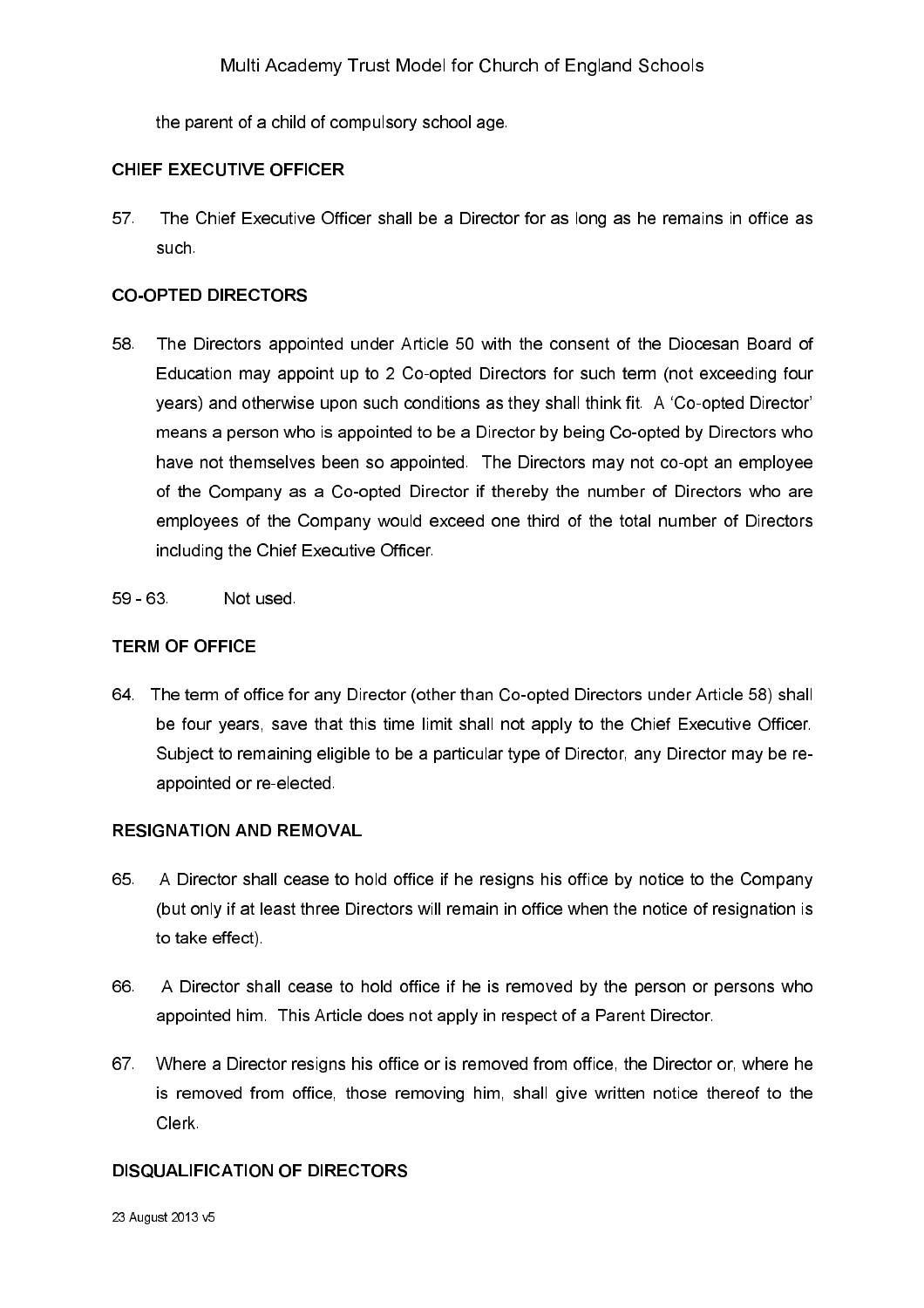the parent of a child of compulsory school age.

### **CHIEF EXECUTIVE OFFICER**

57 The Chief Executive Officer shall be a Director for as long as he remains in office as such

### **CO-OPTED DIRECTORS**

- 58 The Directors appointed under Article 50 with the consent of the Diocesan Board of Education may appoint up to 2 Co-opted Directors for such term (not exceeding four years) and otherwise upon such conditions as they shall think fit. A 'Co-opted Director' means a person who is appointed to be a Director by being Co-opted by Directors who have not themselves been so appointed. The Directors may not co-opt an employee of the Company as a Co-opted Director if thereby the number of Directors who are employees of the Company would exceed one third of the total number of Directors including the Chief Executive Officer.
- $59 63$ Not used

## **TERM OF OFFICE**

64. The term of office for any Director (other than Co-opted Directors under Article 58) shall be four years, save that this time limit shall not apply to the Chief Executive Officer. Subject to remaining eligible to be a particular type of Director, any Director may be reappointed or re-elected.

### **RESIGNATION AND REMOVAL**

- 65. A Director shall cease to hold office if he resigns his office by notice to the Company (but only if at least three Directors will remain in office when the notice of resignation is to take effect)
- 66 A Director shall cease to hold office if he is removed by the person or persons who appointed him. This Article does not apply in respect of a Parent Director.
- 67 Where a Director resigns his office or is removed from office, the Director or, where he is removed from office, those removing him, shall give written notice thereof to the Clerk.

### **DISQUALIFICATION OF DIRECTORS**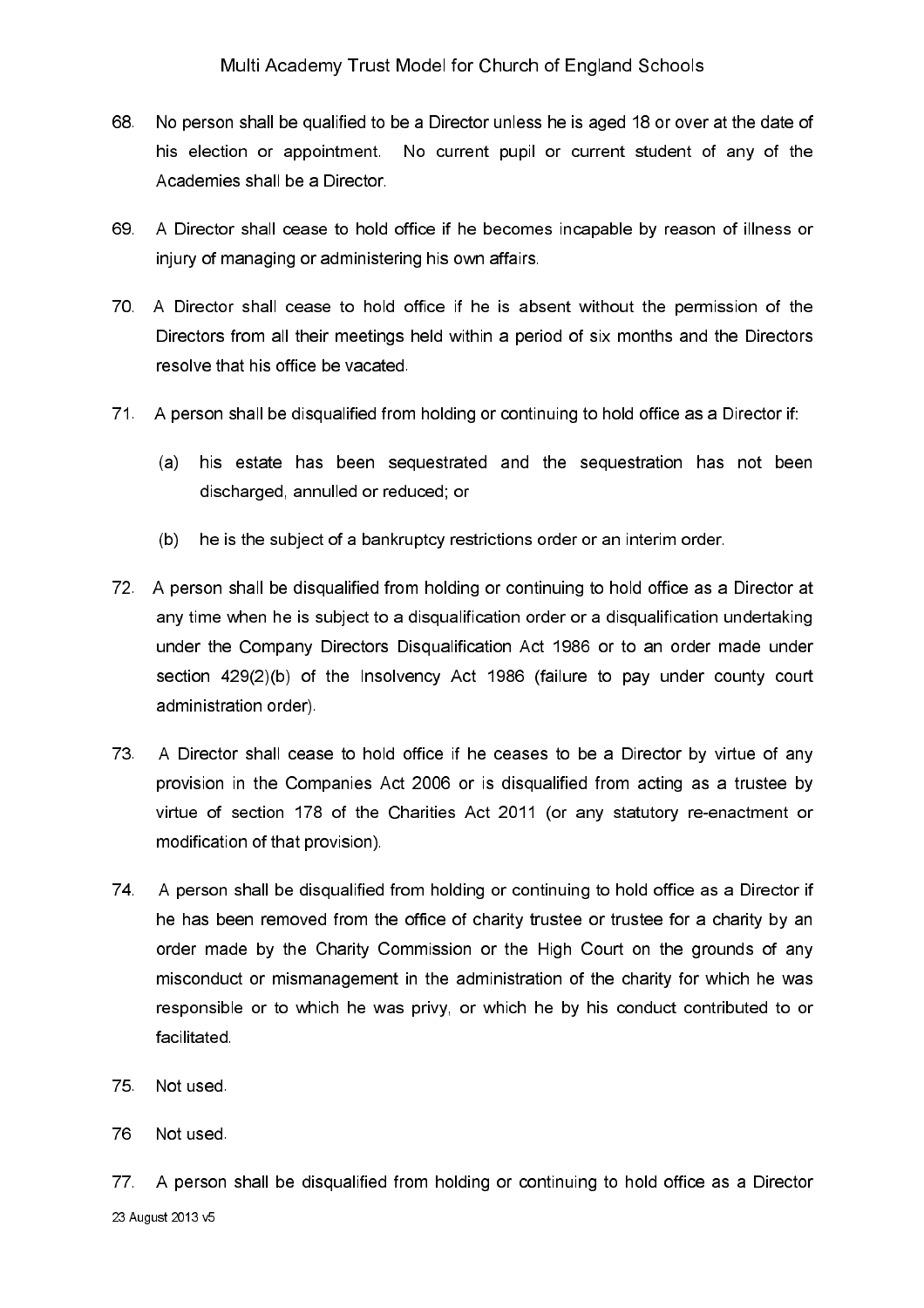- 68. No person shall be qualified to be a Director unless he is aged 18 or over at the date of his election or appointment. No current pupil or current student of any of the Academies shall be a Director
- A Director shall cease to hold office if he becomes incapable by reason of illness or 69 injury of managing or administering his own affairs.
- 70. A Director shall cease to hold office if he is absent without the permission of the Directors from all their meetings held within a period of six months and the Directors resolve that his office be vacated.
- 71. A person shall be disqualified from holding or continuing to hold office as a Director if:
	- his estate has been sequestrated and the sequestration has not been  $(a)$ discharged, annulled or reduced; or
	- he is the subject of a bankruptcy restrictions order or an interim order.  $(b)$
- 72. A person shall be disqualified from holding or continuing to hold office as a Director at any time when he is subject to a disqualification order or a disqualification undertaking under the Company Directors Disqualification Act 1986 or to an order made under section 429(2)(b) of the Insolvency Act 1986 (failure to pay under county court administration order).
- A Director shall cease to hold office if he ceases to be a Director by virtue of any 73. provision in the Companies Act 2006 or is disqualified from acting as a trustee by virtue of section 178 of the Charities Act 2011 (or any statutory re-enactment or modification of that provision).
- A person shall be disqualified from holding or continuing to hold office as a Director if 74 he has been removed from the office of charity trustee or trustee for a charity by an order made by the Charity Commission or the High Court on the grounds of any misconduct or mismanagement in the administration of the charity for which he was responsible or to which he was privy, or which he by his conduct contributed to or facilitated
- 75 Not used
- 76 Not used

77 A person shall be disqualified from holding or continuing to hold office as a Director 23 August 2013 v5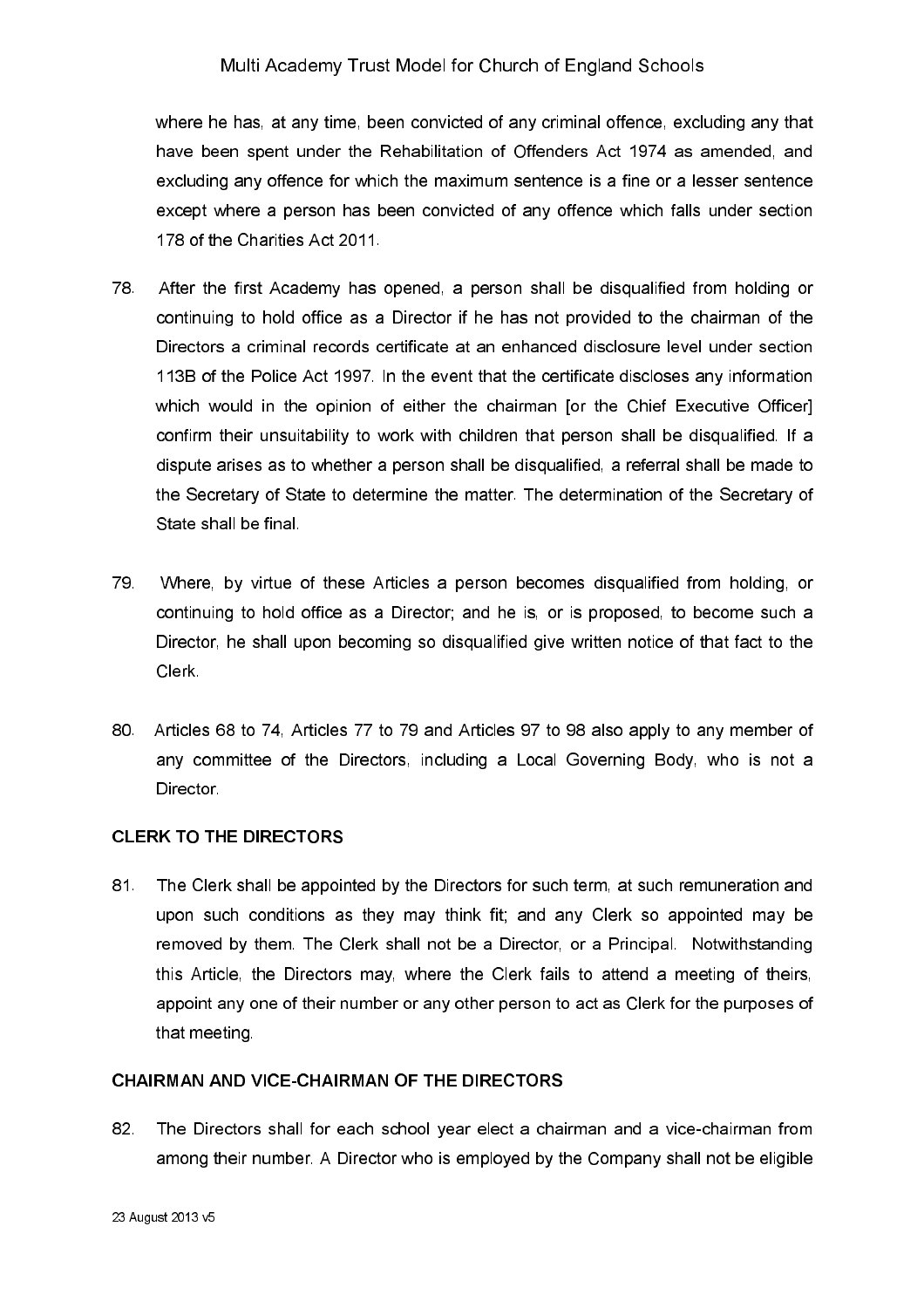where he has, at any time, been convicted of any criminal offence, excluding any that have been spent under the Rehabilitation of Offenders Act 1974 as amended, and excluding any offence for which the maximum sentence is a fine or a lesser sentence except where a person has been convicted of any offence which falls under section 178 of the Charities Act 2011.

- 78. After the first Academy has opened, a person shall be disqualified from holding or continuing to hold office as a Director if he has not provided to the chairman of the Directors a criminal records certificate at an enhanced disclosure level under section 113B of the Police Act 1997. In the event that the certificate discloses any information which would in the opinion of either the chairman [or the Chief Executive Officer] confirm their unsuitability to work with children that person shall be disqualified. If a dispute arises as to whether a person shall be disqualified, a referral shall be made to the Secretary of State to determine the matter. The determination of the Secretary of State shall be final
- 79 Where, by virtue of these Articles a person becomes disqualified from holding, or continuing to hold office as a Director; and he is, or is proposed, to become such a Director, he shall upon becoming so disqualified give written notice of that fact to the Clerk
- 80. Articles 68 to 74. Articles 77 to 79 and Articles 97 to 98 also apply to any member of any committee of the Directors, including a Local Governing Body, who is not a Director.

# **CLERK TO THE DIRECTORS**

 $81.$ The Clerk shall be appointed by the Directors for such term, at such remuneration and upon such conditions as they may think fit; and any Clerk so appointed may be removed by them. The Clerk shall not be a Director, or a Principal. Notwithstanding this Article, the Directors may, where the Clerk fails to attend a meeting of theirs, appoint any one of their number or any other person to act as Clerk for the purposes of that meeting

#### CHAIRMAN AND VICE-CHAIRMAN OF THE DIRECTORS

82. The Directors shall for each school year elect a chairman and a vice-chairman from among their number. A Director who is employed by the Company shall not be eligible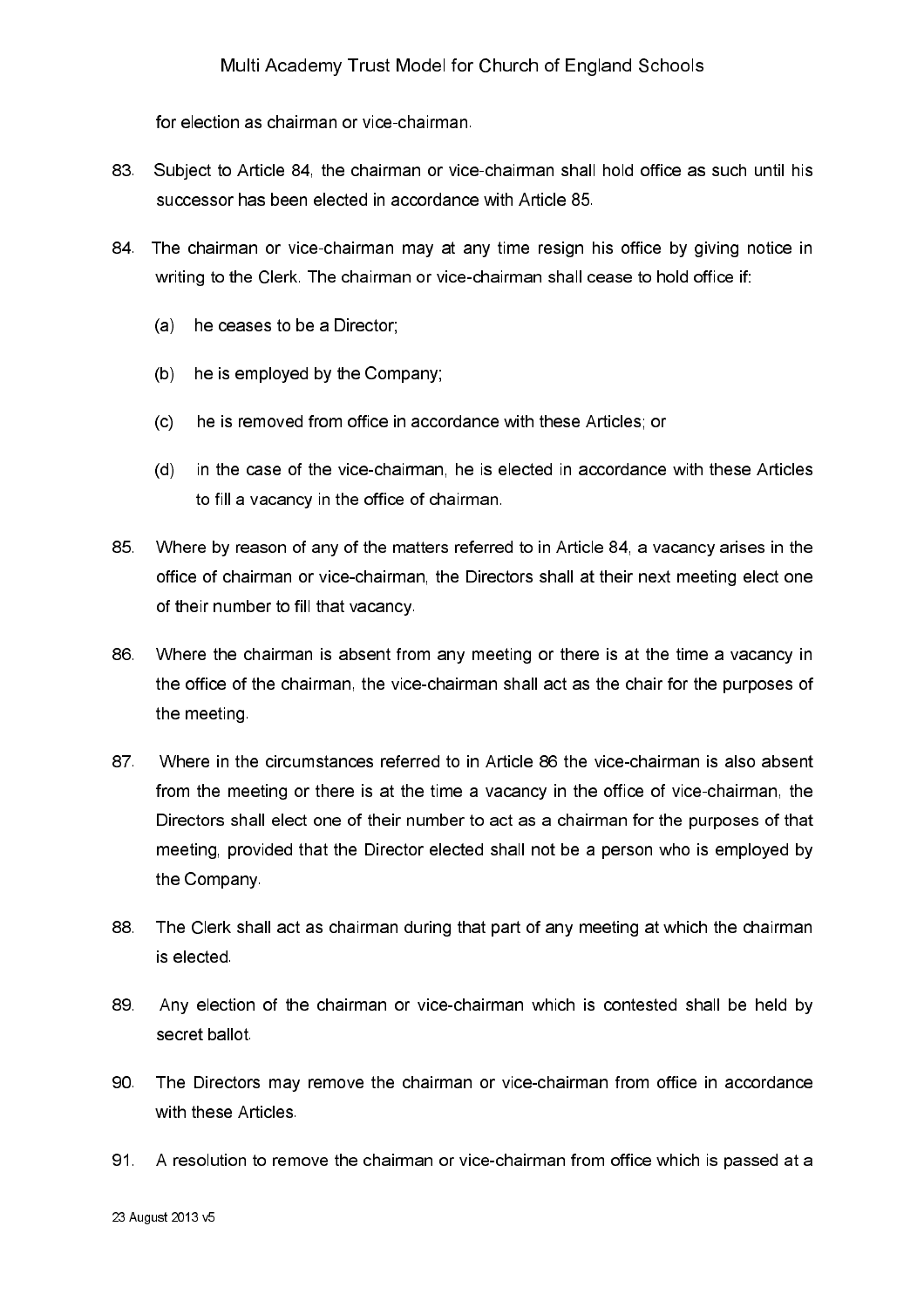for election as chairman or vice-chairman.

- Subject to Article 84, the chairman or vice-chairman shall hold office as such until his 83. successor has been elected in accordance with Article 85.
- 84. The chairman or vice-chairman may at any time resign his office by giving notice in writing to the Clerk. The chairman or vice-chairman shall cease to hold office if:
	- (a) he ceases to be a Director;
	- (b) he is employed by the Company;
	- he is removed from office in accordance with these Articles; or  $(c)$
	- $(d)$ in the case of the vice-chairman, he is elected in accordance with these Articles to fill a vacancy in the office of chairman.
- 85. Where by reason of any of the matters referred to in Article 84, a vacancy arises in the office of chairman or vice-chairman, the Directors shall at their next meeting elect one of their number to fill that vacancy.
- 86 Where the chairman is absent from any meeting or there is at the time a vacancy in the office of the chairman, the vice-chairman shall act as the chair for the purposes of the meeting
- 87 Where in the circumstances referred to in Article 86 the vice-chairman is also absent from the meeting or there is at the time a vacancy in the office of vice-chairman, the Directors shall elect one of their number to act as a chairman for the purposes of that meeting, provided that the Director elected shall not be a person who is employed by the Company.
- 88 The Clerk shall act as chairman during that part of any meeting at which the chairman is elected
- 89. Any election of the chairman or vice-chairman which is contested shall be held by secret ballot
- 90 The Directors may remove the chairman or vice-chairman from office in accordance with these Articles.
- 91 A resolution to remove the chairman or vice-chairman from office which is passed at a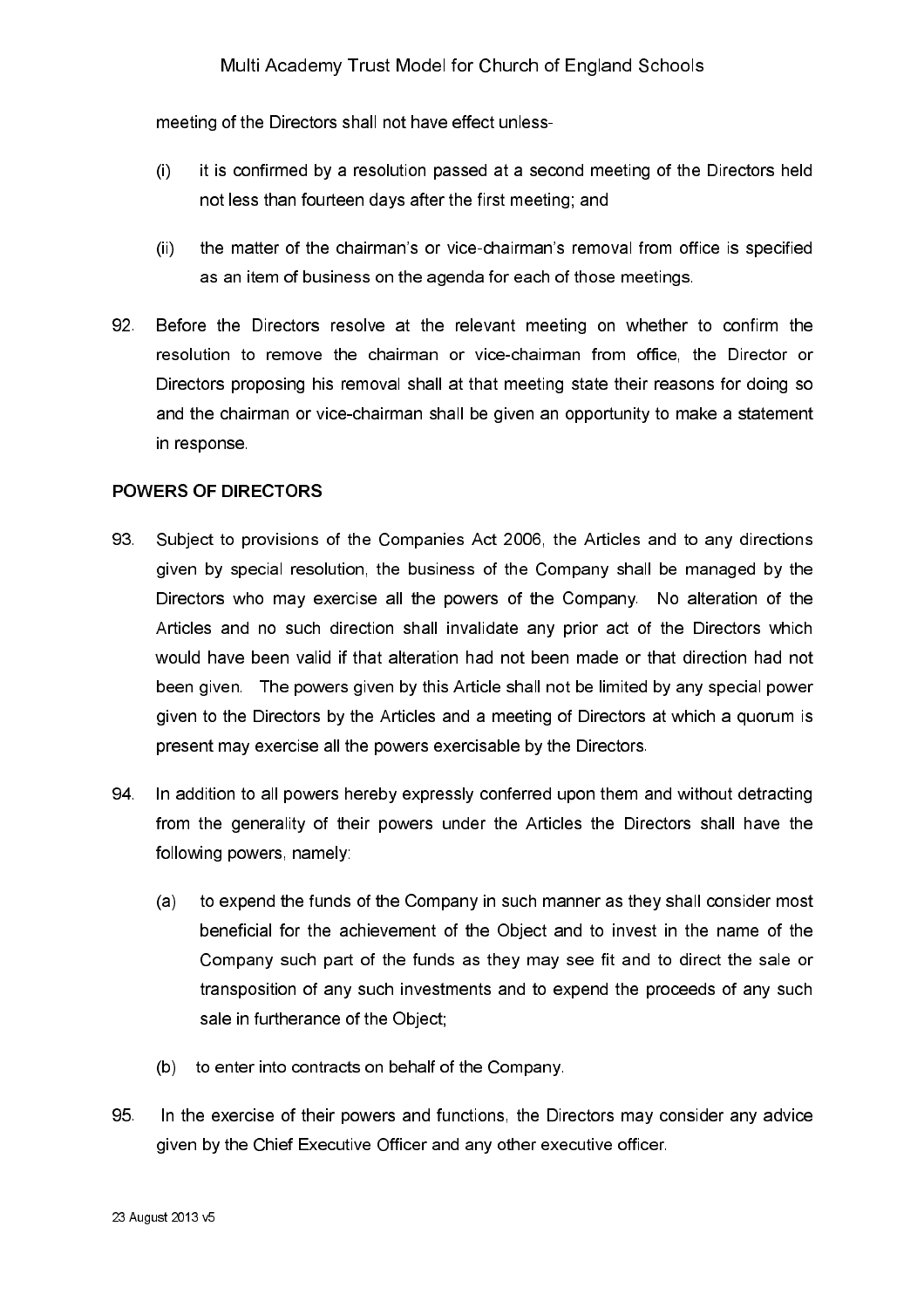meeting of the Directors shall not have effect unless-

- it is confirmed by a resolution passed at a second meeting of the Directors held  $\left($ not less than fourteen davs after the first meeting: and
- $(ii)$ the matter of the chairman's or vice-chairman's removal from office is specified as an item of business on the agenda for each of those meetings.
- 92 Before the Directors resolve at the relevant meeting on whether to confirm the resolution to remove the chairman or vice-chairman from office, the Director or Directors proposing his removal shall at that meeting state their reasons for doing so and the chairman or vice-chairman shall be given an opportunity to make a statement in response.

#### **POWERS OF DIRECTORS**

- 93 Subject to provisions of the Companies Act 2006, the Articles and to any directions given by special resolution, the business of the Company shall be managed by the Directors who may exercise all the powers of the Company. No alteration of the Articles and no such direction shall invalidate any prior act of the Directors which would have been valid if that alteration had not been made or that direction had not been given. The powers given by this Article shall not be limited by any special power given to the Directors by the Articles and a meeting of Directors at which a guorum is present may exercise all the powers exercisable by the Directors.
- 94 In addition to all powers hereby expressly conferred upon them and without detracting from the generality of their powers under the Articles the Directors shall have the following powers, namely:
	- to expend the funds of the Company in such manner as they shall consider most  $(a)$ beneficial for the achievement of the Object and to invest in the name of the Company such part of the funds as they may see fit and to direct the sale or transposition of any such investments and to expend the proceeds of any such sale in furtherance of the Object;
	- (b) to enter into contracts on behalf of the Company.
- 95 In the exercise of their powers and functions, the Directors may consider any advice given by the Chief Executive Officer and any other executive officer.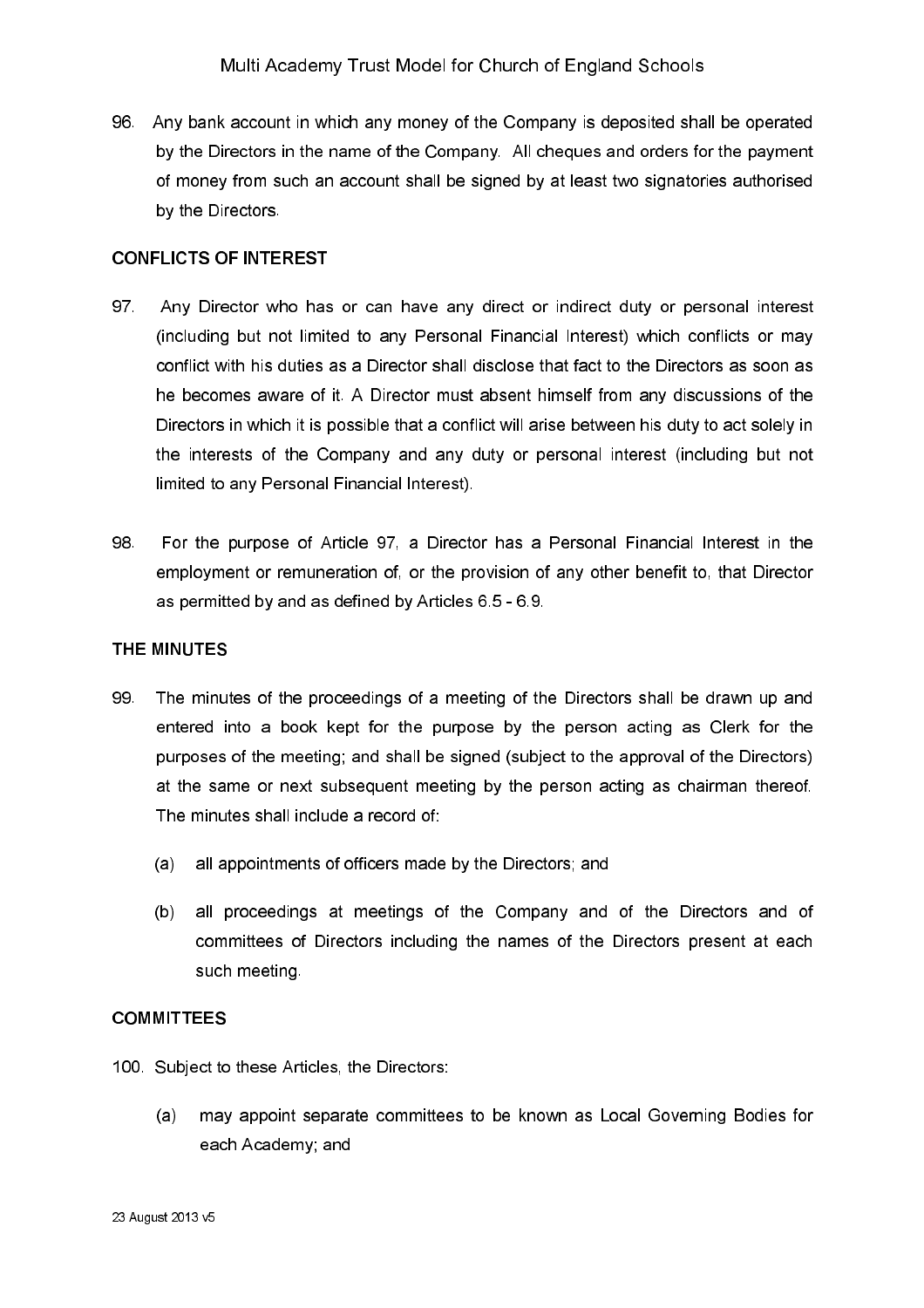96. Any bank account in which any money of the Company is deposited shall be operated by the Directors in the name of the Company. All cheques and orders for the payment of money from such an account shall be signed by at least two signatories authorised by the Directors

#### **CONFLICTS OF INTEREST**

- 97. Any Director who has or can have any direct or indirect duty or personal interest (including but not limited to any Personal Financial Interest) which conflicts or may conflict with his duties as a Director shall disclose that fact to the Directors as soon as he becomes aware of it. A Director must absent himself from any discussions of the Directors in which it is possible that a conflict will arise between his duty to act solely in the interests of the Company and any duty or personal interest (including but not limited to any Personal Financial Interest).
- 98 For the purpose of Article 97, a Director has a Personal Financial Interest in the employment or remuneration of, or the provision of any other benefit to, that Director as permitted by and as defined by Articles 6.5 - 6.9.

#### THE MINUTES

- 99 The minutes of the proceedings of a meeting of the Directors shall be drawn up and entered into a book kept for the purpose by the person acting as Clerk for the purposes of the meeting; and shall be signed (subject to the approval of the Directors) at the same or next subsequent meeting by the person acting as chairman thereof. The minutes shall include a record of:
	- all appointments of officers made by the Directors; and  $(a)$
	- $(b)$ all proceedings at meetings of the Company and of the Directors and of committees of Directors including the names of the Directors present at each such meeting.

#### **COMMITTEES**

- 100. Subject to these Articles, the Directors:
	- may appoint separate committees to be known as Local Governing Bodies for  $(a)$ each Academy; and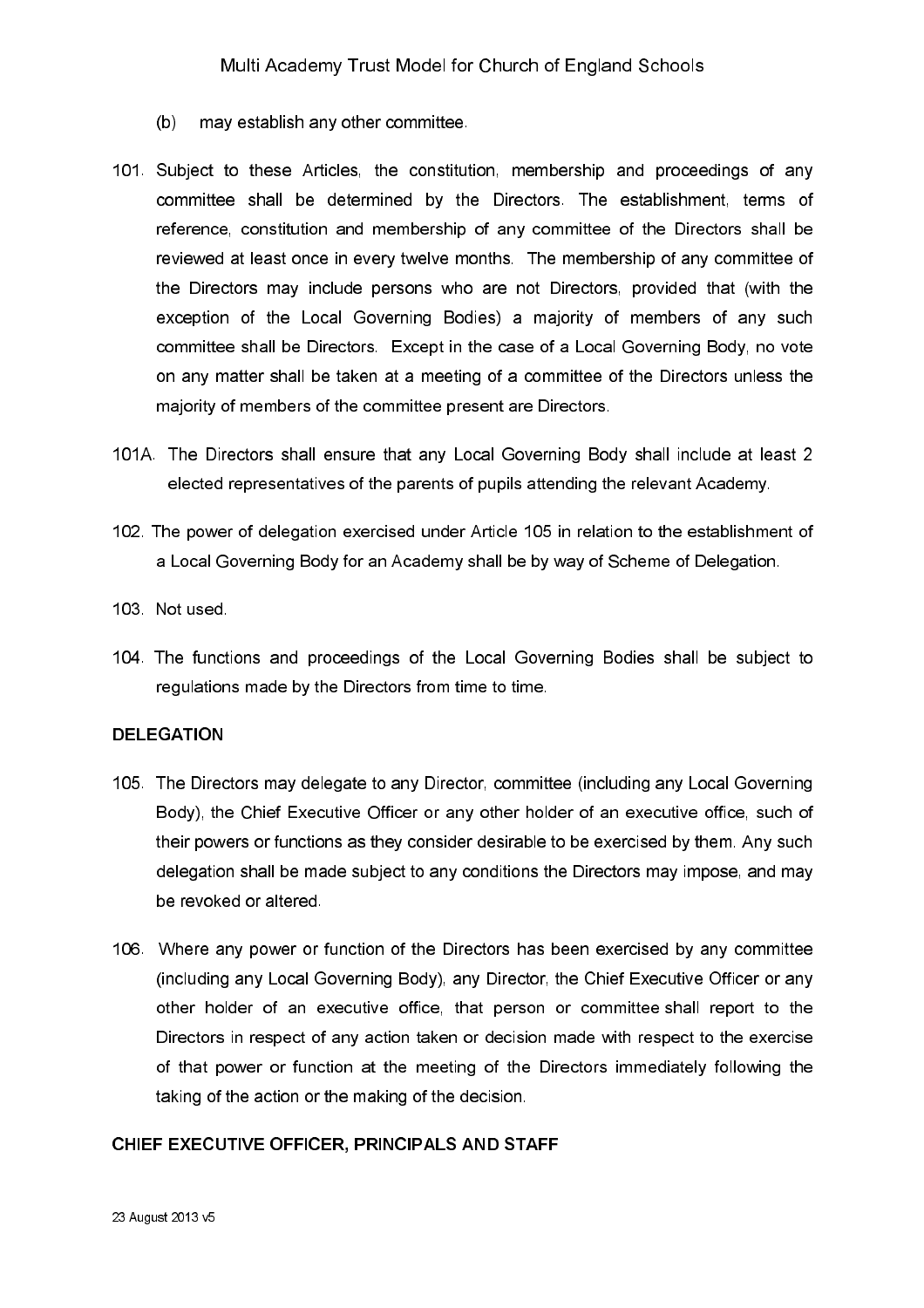- $(b)$ may establish any other committee.
- 101. Subject to these Articles, the constitution, membership and proceedings of any committee shall be determined by the Directors. The establishment, terms of reference, constitution and membership of any committee of the Directors shall be reviewed at least once in every twelve months. The membership of any committee of the Directors may include persons who are not Directors, provided that (with the exception of the Local Governing Bodies) a majority of members of any such committee shall be Directors. Except in the case of a Local Governing Body, no vote on any matter shall be taken at a meeting of a committee of the Directors unless the majority of members of the committee present are Directors.
- 101A. The Directors shall ensure that any Local Governing Body shall include at least 2 elected representatives of the parents of pupils attending the relevant Academy.
- 102. The power of delegation exercised under Article 105 in relation to the establishment of a Local Governing Body for an Academy shall be by way of Scheme of Delegation.
- 103 Not used
- 104. The functions and proceedings of the Local Governing Bodies shall be subject to regulations made by the Directors from time to time.

#### **DELEGATION**

- 105. The Directors may delegate to any Director, committee (including any Local Governing Body), the Chief Executive Officer or any other holder of an executive office, such of their powers or functions as they consider desirable to be exercised by them. Any such delegation shall be made subject to any conditions the Directors may impose, and may be revoked or altered.
- 106. Where any power or function of the Directors has been exercised by any committee (including any Local Governing Body), any Director, the Chief Executive Officer or any other holder of an executive office, that person or committee shall report to the Directors in respect of any action taken or decision made with respect to the exercise of that power or function at the meeting of the Directors immediately following the taking of the action or the making of the decision.

#### CHIEF EXECUTIVE OFFICER, PRINCIPALS AND STAFF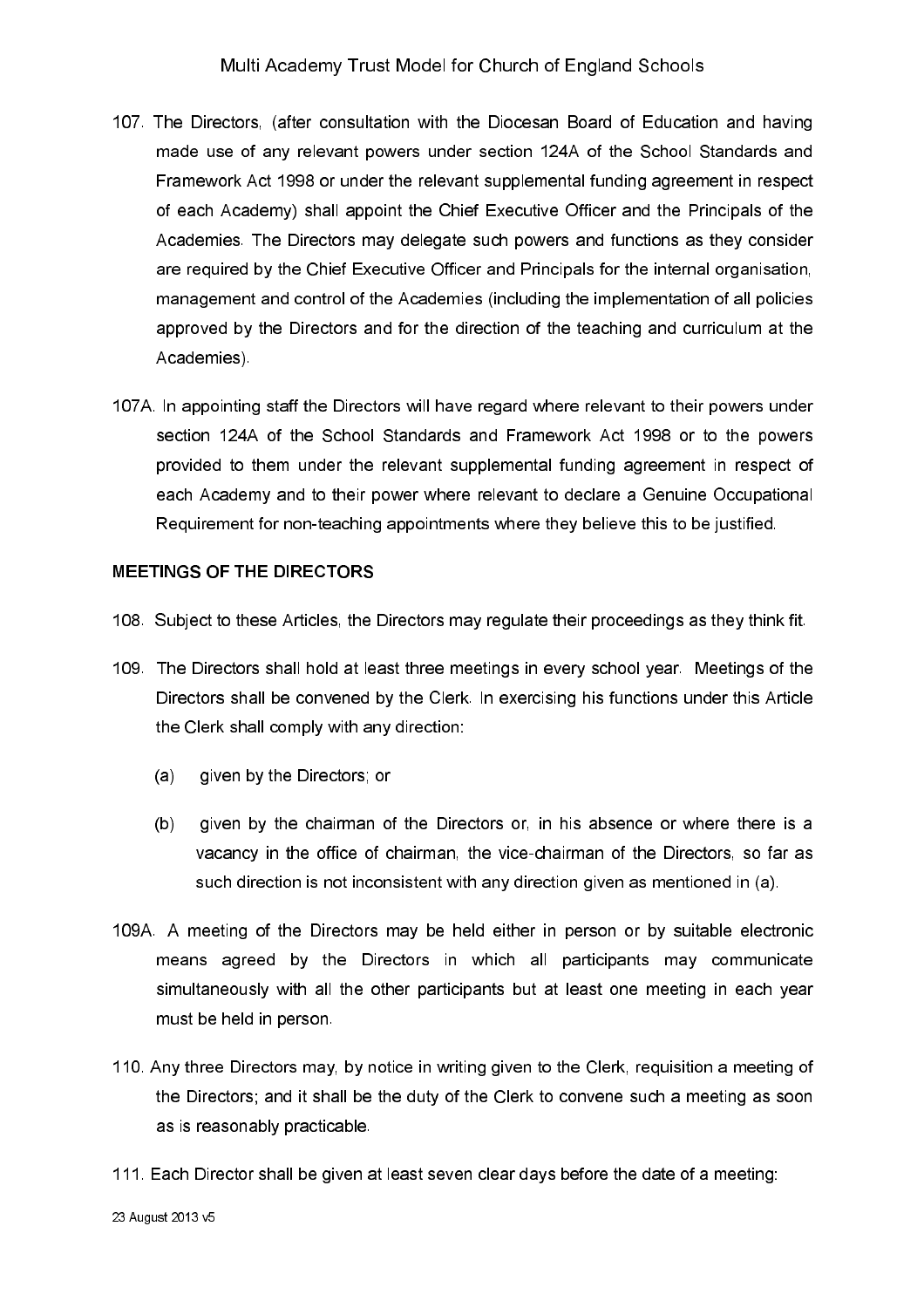- 107. The Directors, (after consultation with the Diocesan Board of Education and having made use of any relevant powers under section 124A of the School Standards and Framework Act 1998 or under the relevant supplemental funding agreement in respect of each Academy) shall appoint the Chief Executive Officer and the Principals of the Academies. The Directors may delegate such powers and functions as they consider are required by the Chief Executive Officer and Principals for the internal organisation. management and control of the Academies (including the implementation of all policies approved by the Directors and for the direction of the teaching and curriculum at the Academies)
- 107A. In appointing staff the Directors will have regard where relevant to their powers under section 124A of the School Standards and Framework Act 1998 or to the powers provided to them under the relevant supplemental funding agreement in respect of each Academy and to their power where relevant to declare a Genuine Occupational Requirement for non-teaching appointments where they believe this to be justified.

#### MEETINGS OF THE DIRECTORS

- 108. Subject to these Articles, the Directors may regulate their proceedings as they think fit.
- 109. The Directors shall hold at least three meetings in every school year. Meetings of the Directors shall be convened by the Clerk. In exercising his functions under this Article the Clerk shall comply with any direction:
	- given by the Directors; or  $(a)$
	- $(b)$ given by the chairman of the Directors or, in his absence or where there is a vacancy in the office of chairman, the vice-chairman of the Directors, so far as such direction is not inconsistent with any direction given as mentioned in (a).
- 109A. A meeting of the Directors may be held either in person or by suitable electronic means agreed by the Directors in which all participants may communicate simultaneously with all the other participants but at least one meeting in each year must be held in person.
- 110. Any three Directors may, by notice in writing given to the Clerk, requisition a meeting of the Directors; and it shall be the duty of the Clerk to convene such a meeting as soon as is reasonably practicable.
- 111. Each Director shall be given at least seven clear days before the date of a meeting: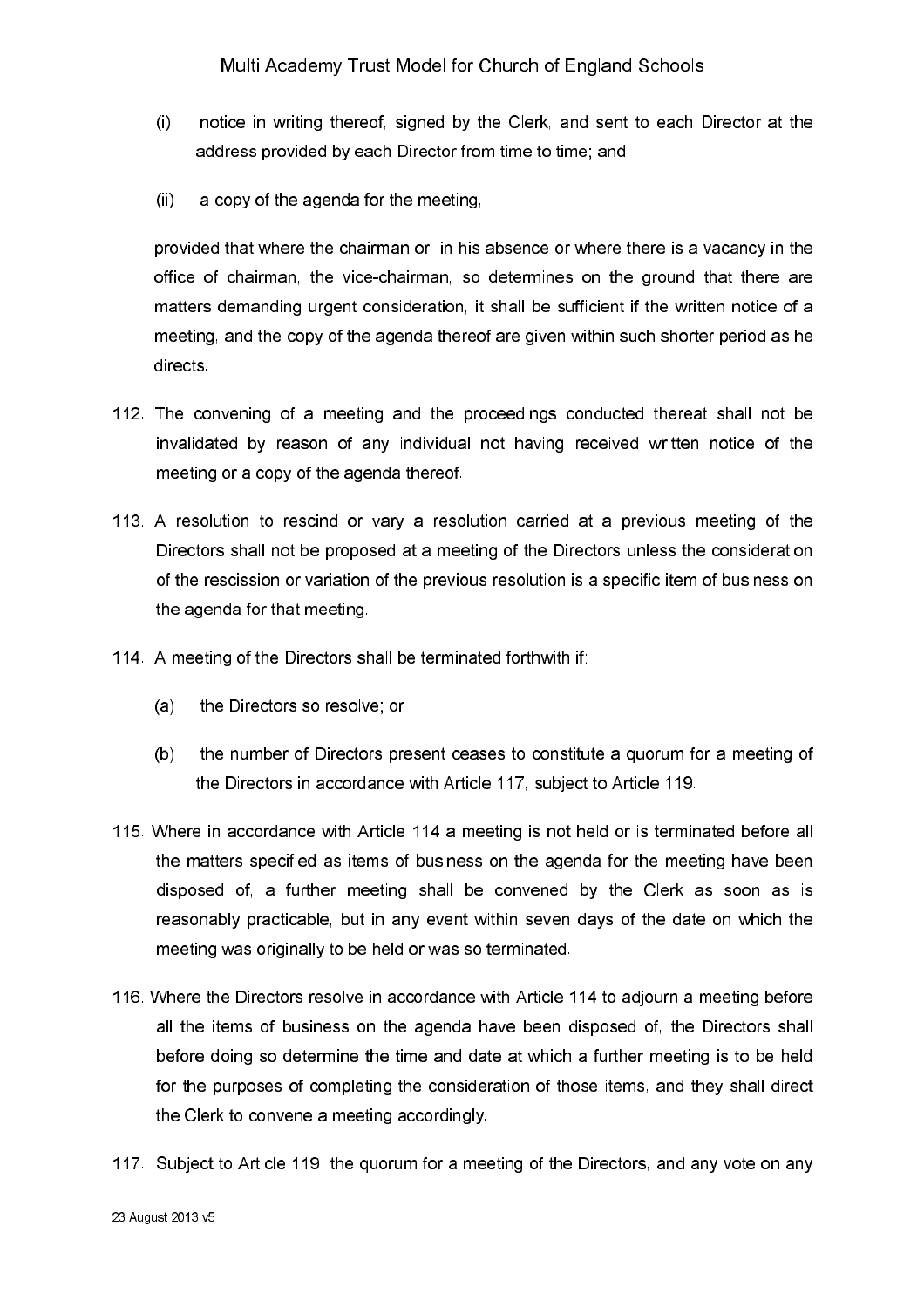- $(i)$ notice in writing thereof, signed by the Clerk, and sent to each Director at the address provided by each Director from time to time; and
- $(ii)$ a copy of the agenda for the meeting.

provided that where the chairman or, in his absence or where there is a vacancy in the office of chairman, the vice-chairman, so determines on the ground that there are matters demanding urgent consideration, it shall be sufficient if the written notice of a meeting, and the copy of the agenda thereof are given within such shorter period as he directs

- 112. The convening of a meeting and the proceedings conducted thereat shall not be invalidated by reason of any individual not having received written notice of the meeting or a copy of the agenda thereof.
- 113. A resolution to rescind or vary a resolution carried at a previous meeting of the Directors shall not be proposed at a meeting of the Directors unless the consideration of the rescission or variation of the previous resolution is a specific item of business on the agenda for that meeting.
- 114. A meeting of the Directors shall be terminated forthwith if:
	- the Directors so resolve; or  $(a)$
	- $(b)$ the number of Directors present ceases to constitute a quorum for a meeting of the Directors in accordance with Article 117, subject to Article 119.
- 115. Where in accordance with Article 114 a meeting is not held or is terminated before all the matters specified as items of business on the agenda for the meeting have been disposed of, a further meeting shall be convened by the Clerk as soon as is reasonably practicable, but in any event within seven days of the date on which the meeting was originally to be held or was so terminated.
- 116. Where the Directors resolve in accordance with Article 114 to adjourn a meeting before all the items of business on the agenda have been disposed of, the Directors shall before doing so determine the time and date at which a further meeting is to be held for the purposes of completing the consideration of those items, and they shall direct the Clerk to convene a meeting accordingly.
- 117. Subject to Article 119 the quorum for a meeting of the Directors, and any vote on any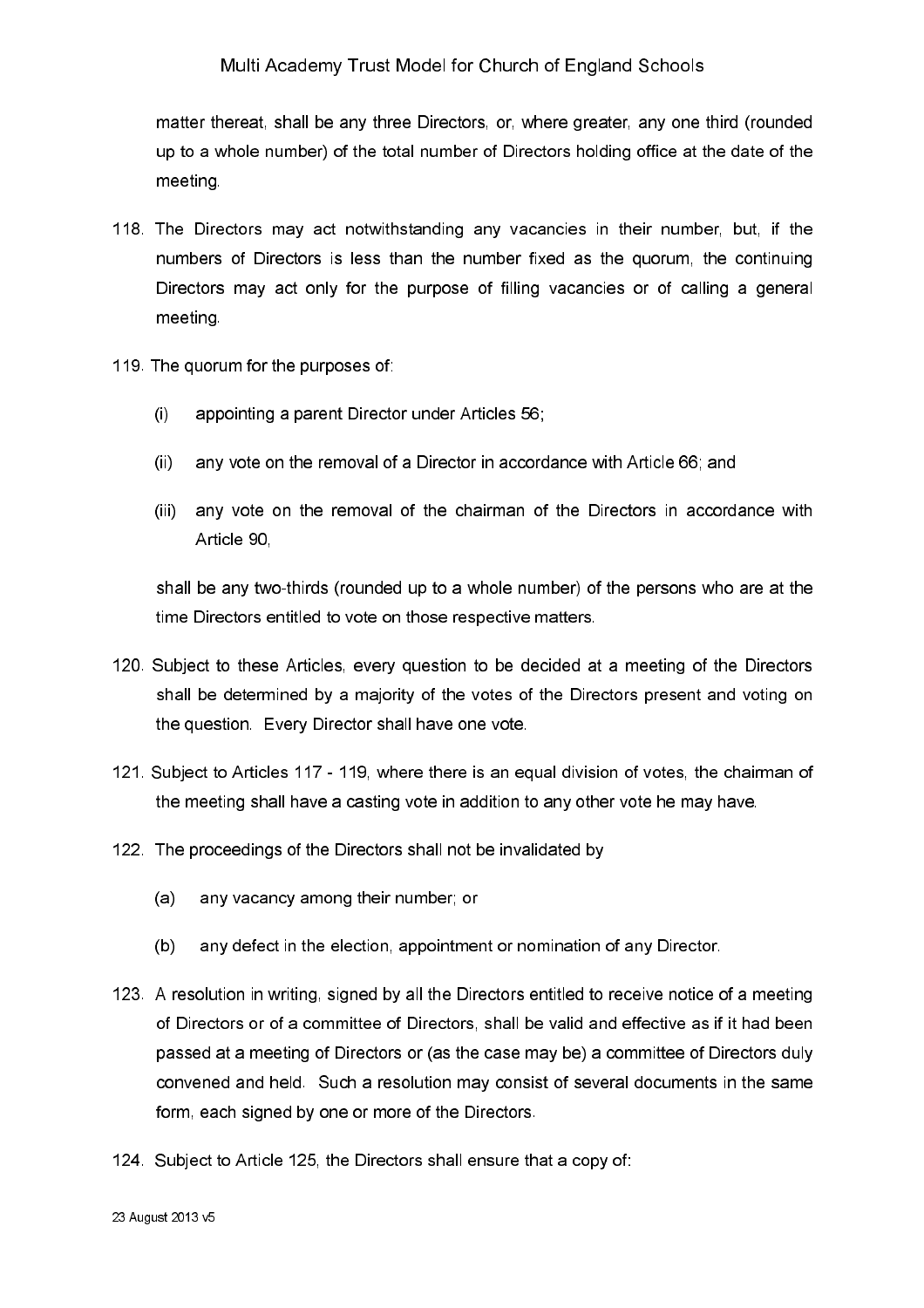matter thereat, shall be any three Directors, or, where greater, any one third (rounded up to a whole number) of the total number of Directors holding office at the date of the meeting

- 118. The Directors may act notwithstanding any vacancies in their number, but, if the numbers of Directors is less than the number fixed as the quorum, the continuing Directors may act only for the purpose of filling vacancies or of calling a general meeting.
- 119. The quorum for the purposes of:
	- appointing a parent Director under Articles 56;  $\left($ i
	- any vote on the removal of a Director in accordance with Article 66; and  $(ii)$
	- any vote on the removal of the chairman of the Directors in accordance with  $(iii)$ Article 90

shall be any two-thirds (rounded up to a whole number) of the persons who are at the time Directors entitled to vote on those respective matters.

- 120. Subject to these Articles, every question to be decided at a meeting of the Directors shall be determined by a majority of the votes of the Directors present and voting on the question. Every Director shall have one vote.
- 121. Subject to Articles 117 119, where there is an equal division of votes, the chairman of the meeting shall have a casting vote in addition to any other vote he may have.
- 122. The proceedings of the Directors shall not be invalidated by
	- any vacancy among their number; or  $(a)$
	- $(b)$ any defect in the election, appointment or nomination of any Director.
- 123. A resolution in writing, signed by all the Directors entitled to receive notice of a meeting of Directors or of a committee of Directors, shall be valid and effective as if it had been passed at a meeting of Directors or (as the case may be) a committee of Directors duly convened and held. Such a resolution may consist of several documents in the same form, each signed by one or more of the Directors.
- 124. Subject to Article 125, the Directors shall ensure that a copy of: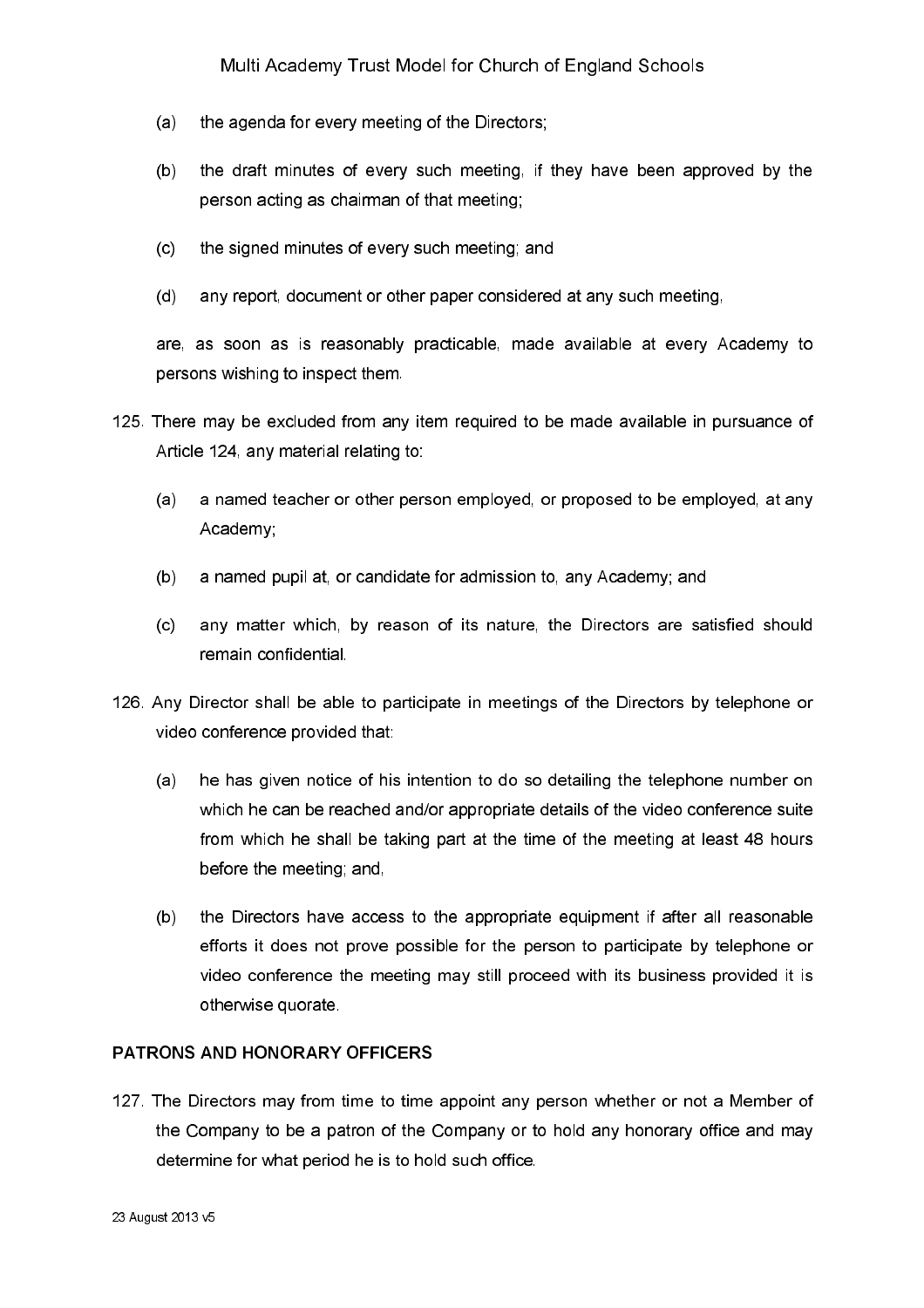- $(a)$ the agenda for every meeting of the Directors;
- $(b)$ the draft minutes of every such meeting, if they have been approved by the person acting as chairman of that meeting:
- the signed minutes of every such meeting; and  $(c)$
- $(d)$ any report, document or other paper considered at any such meeting,

are, as soon as is reasonably practicable, made available at every Academy to persons wishing to inspect them.

- 125. There may be excluded from any item required to be made available in pursuance of Article 124, any material relating to:
	- $(a)$ a named teacher or other person employed, or proposed to be employed, at any Academy;
	- $(b)$ a named pupil at, or candidate for admission to, any Academy; and
	- any matter which, by reason of its nature, the Directors are satisfied should  $(c)$ remain confidential.
- 126. Any Director shall be able to participate in meetings of the Directors by telephone or video conference provided that:
	- $(a)$ he has given notice of his intention to do so detailing the telephone number on which he can be reached and/or appropriate details of the video conference suite from which he shall be taking part at the time of the meeting at least 48 hours before the meeting; and,
	- the Directors have access to the appropriate equipment if after all reasonable  $(b)$ efforts it does not prove possible for the person to participate by telephone or video conference the meeting may still proceed with its business provided it is otherwise quorate

### PATRONS AND HONORARY OFFICERS

127. The Directors may from time to time appoint any person whether or not a Member of the Company to be a patron of the Company or to hold any honorary office and may determine for what period he is to hold such office.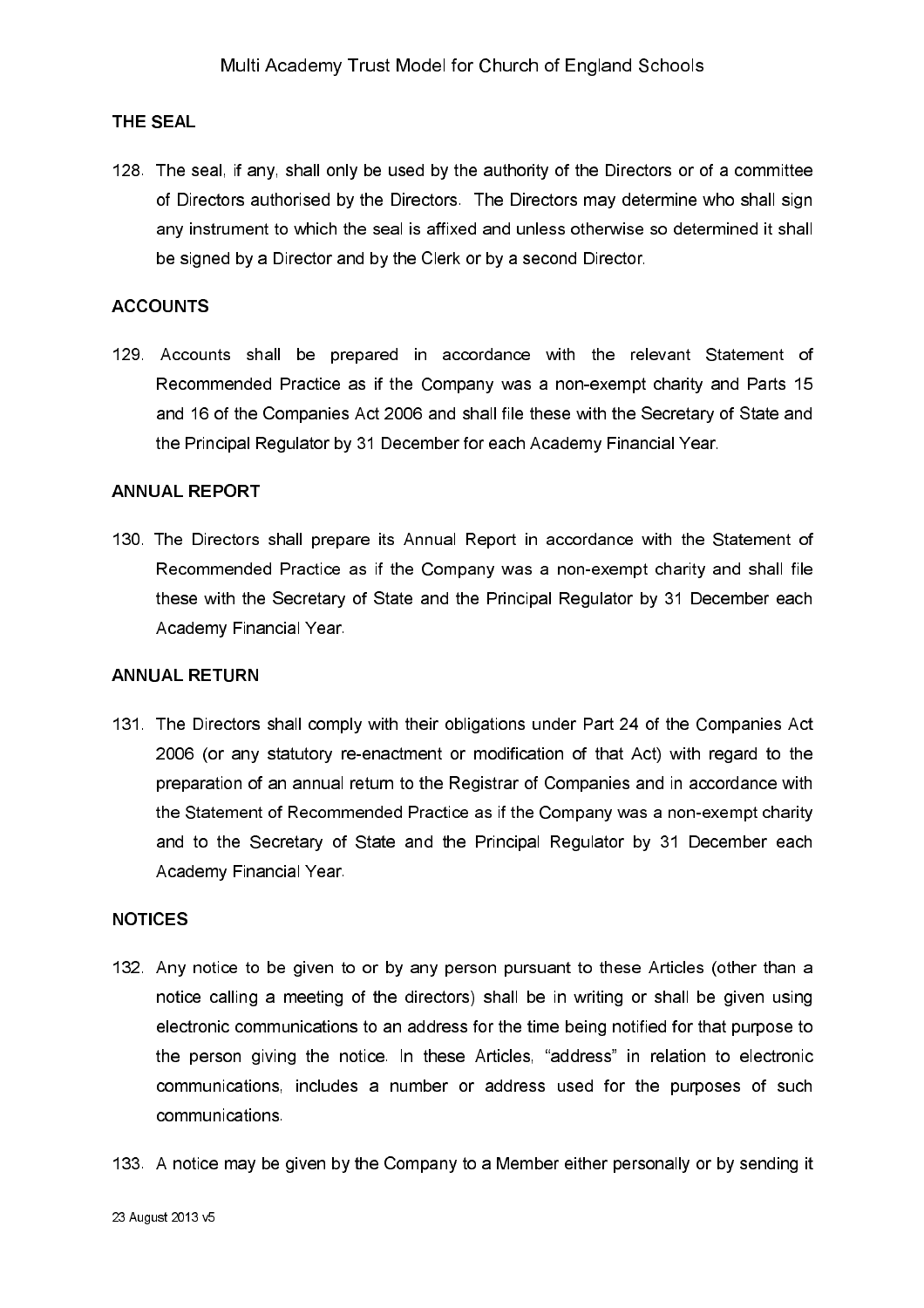#### **THE SEAL**

128. The seal, if any, shall only be used by the authority of the Directors or of a committee of Directors authorised by the Directors. The Directors may determine who shall sign any instrument to which the seal is affixed and unless otherwise so determined it shall be signed by a Director and by the Clerk or by a second Director.

#### **ACCOUNTS**

129. Accounts shall be prepared in accordance with the relevant Statement of Recommended Practice as if the Company was a non-exempt charity and Parts 15 and 16 of the Companies Act 2006 and shall file these with the Secretary of State and the Principal Regulator by 31 December for each Academy Financial Year.

#### **ANNUAL REPORT**

130. The Directors shall prepare its Annual Report in accordance with the Statement of Recommended Practice as if the Company was a non-exempt charity and shall file these with the Secretary of State and the Principal Regulator by 31 December each Academy Financial Year.

#### **ANNUAL RETURN**

131. The Directors shall comply with their obligations under Part 24 of the Companies Act 2006 (or any statutory re-enactment or modification of that Act) with regard to the preparation of an annual return to the Registrar of Companies and in accordance with the Statement of Recommended Practice as if the Company was a non-exempt charity and to the Secretary of State and the Principal Regulator by 31 December each Academy Financial Year

#### **NOTICES**

- 132. Any notice to be given to or by any person pursuant to these Articles (other than a notice calling a meeting of the directors) shall be in writing or shall be given using electronic communications to an address for the time being notified for that purpose to the person giving the notice. In these Articles, "address" in relation to electronic communications, includes a number or address used for the purposes of such communications.
- 133. A notice may be given by the Company to a Member either personally or by sending it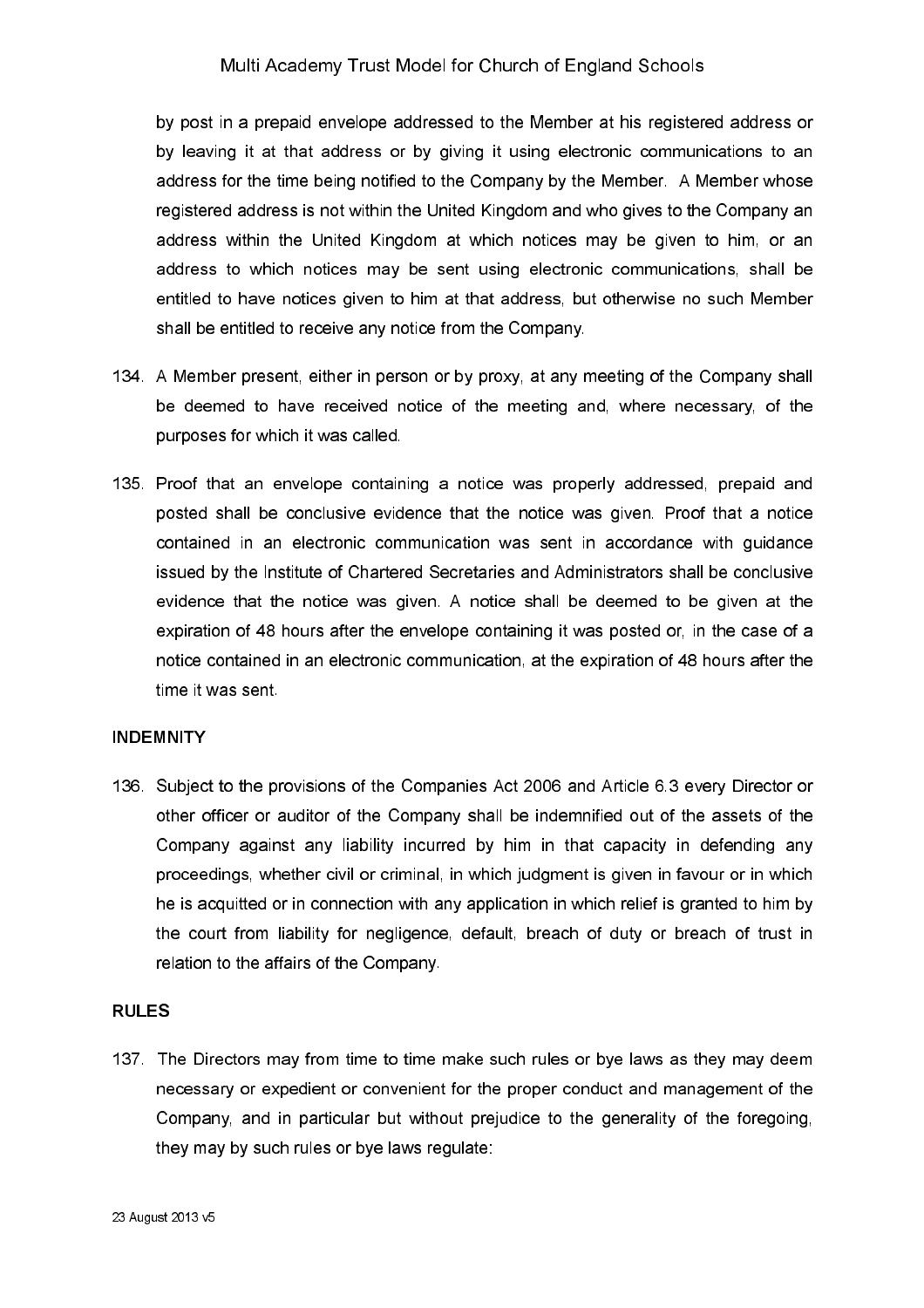by post in a prepaid envelope addressed to the Member at his registered address or by leaving it at that address or by giving it using electronic communications to an address for the time being notified to the Company by the Member. A Member whose registered address is not within the United Kingdom and who gives to the Company an address within the United Kingdom at which notices may be given to him, or an address to which notices may be sent using electronic communications, shall be entitled to have notices given to him at that address, but otherwise no such Member shall be entitled to receive any notice from the Company.

- 134. A Member present, either in person or by proxy, at any meeting of the Company shall be deemed to have received notice of the meeting and, where necessary, of the purposes for which it was called.
- 135. Proof that an envelope containing a notice was properly addressed, prepaid and posted shall be conclusive evidence that the notice was given. Proof that a notice contained in an electronic communication was sent in accordance with quidance issued by the Institute of Chartered Secretaries and Administrators shall be conclusive evidence that the notice was given. A notice shall be deemed to be given at the expiration of 48 hours after the envelope containing it was posted or, in the case of a notice contained in an electronic communication, at the expiration of 48 hours after the time it was sent

#### **INDEMNITY**

136. Subject to the provisions of the Companies Act 2006 and Article 6.3 every Director or other officer or auditor of the Company shall be indemnified out of the assets of the Company against any liability incurred by him in that capacity in defending any proceedings, whether civil or criminal, in which judgment is given in favour or in which he is acquitted or in connection with any application in which relief is granted to him by the court from liability for negligence, default, breach of duty or breach of trust in relation to the affairs of the Company.

#### **RULES**

137. The Directors may from time to time make such rules or bye laws as they may deem necessary or expedient or convenient for the proper conduct and management of the Company, and in particular but without prejudice to the generality of the foregoing. they may by such rules or bye laws regulate: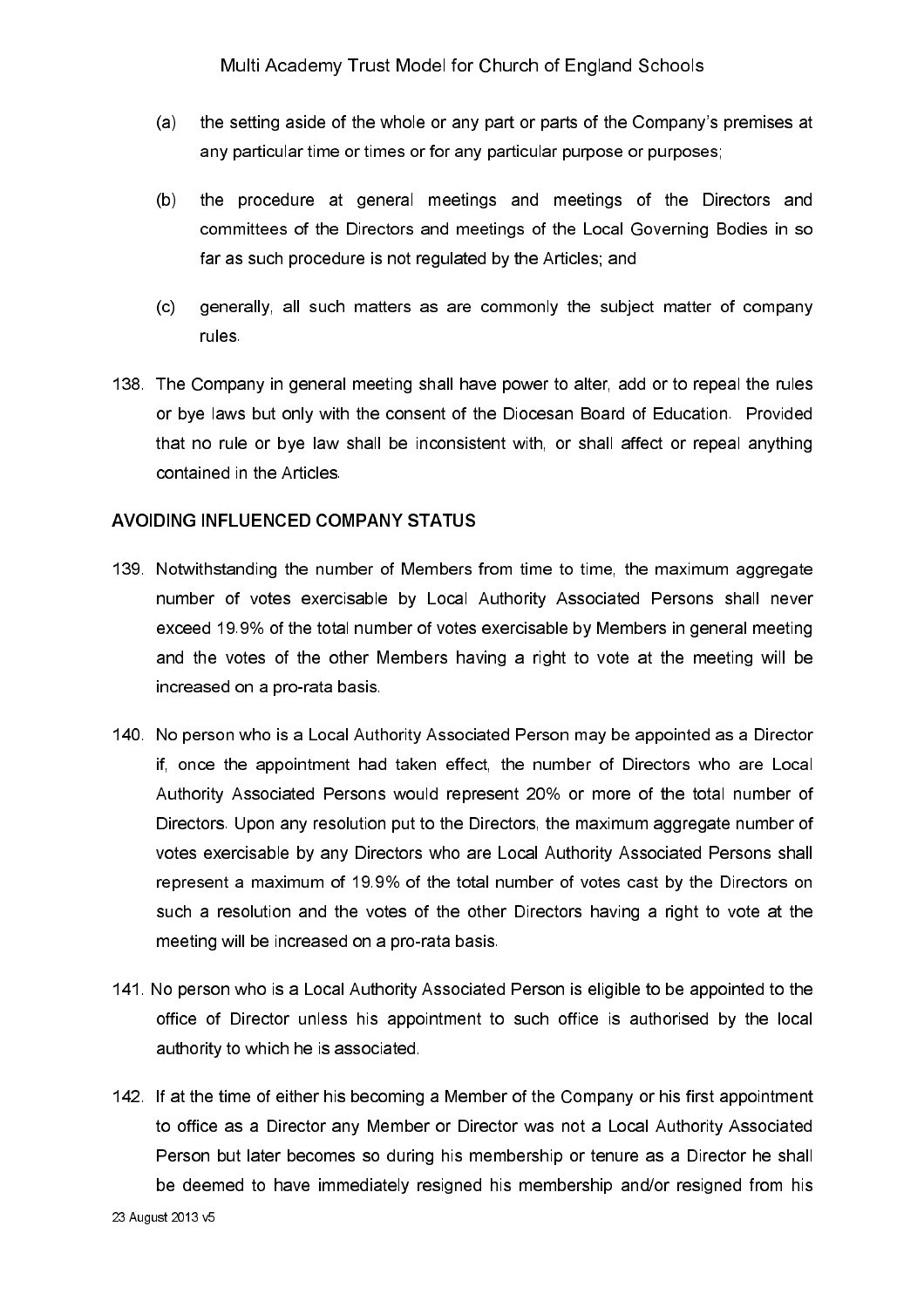- $(a)$ the setting aside of the whole or any part or parts of the Company's premises at any particular time or times or for any particular purpose or purposes;
- $(b)$ the procedure at general meetings and meetings of the Directors and committees of the Directors and meetings of the Local Governing Bodies in so far as such procedure is not regulated by the Articles; and
- $(c)$ generally, all such matters as are commonly the subject matter of company rules.
- 138. The Company in general meeting shall have power to alter, add or to repeal the rules or bye laws but only with the consent of the Diocesan Board of Education. Provided that no rule or bye law shall be inconsistent with, or shall affect or repeal anything contained in the Articles.

#### AVOIDING INFLUENCED COMPANY STATUS

- 139. Notwithstanding the number of Members from time to time, the maximum aggregate number of votes exercisable by Local Authority Associated Persons shall never exceed 19.9% of the total number of votes exercisable by Members in general meeting and the votes of the other Members having a right to vote at the meeting will be increased on a pro-rata basis.
- 140. No person who is a Local Authority Associated Person may be appointed as a Director if, once the appointment had taken effect, the number of Directors who are Local Authority Associated Persons would represent 20% or more of the total number of Directors. Upon any resolution put to the Directors, the maximum aggregate number of votes exercisable by any Directors who are Local Authority Associated Persons shall represent a maximum of 19.9% of the total number of votes cast by the Directors on such a resolution and the votes of the other Directors having a right to vote at the meeting will be increased on a pro-rata basis.
- 141. No person who is a Local Authority Associated Person is eligible to be appointed to the office of Director unless his appointment to such office is authorised by the local authority to which he is associated.
- 142. If at the time of either his becoming a Member of the Company or his first appointment to office as a Director any Member or Director was not a Local Authority Associated Person but later becomes so during his membership or tenure as a Director he shall be deemed to have immediately resigned his membership and/or resigned from his